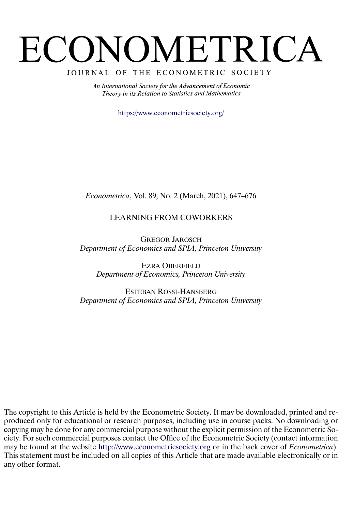# ECONOMETRICA

JOURNAL OF THE ECONOMETRIC SOCIETY

An International Society for the Advancement of Economic Theory in its Relation to Statistics and Mathematics

<https://www.econometricsociety.org/>

*Econometrica*, Vol. 89, No. 2 (March, 2021), 647–676

# LEARNING FROM COWORKERS

GREGOR JAROSCH *Department of Economics and SPIA, Princeton University*

EZRA OBERFIELD *Department of Economics, Princeton University*

ESTEBAN ROSSI-HANSBERG *Department of Economics and SPIA, Princeton University*

The copyright to this Article is held by the Econometric Society. It may be downloaded, printed and reproduced only for educational or research purposes, including use in course packs. No downloading or copying may be done for any commercial purpose without the explicit permission of the Econometric Society. For such commercial purposes contact the Office of the Econometric Society (contact information may be found at the website [http://www.econometricsociety.org](https://www.econometricsociety.org/) or in the back cover of *Econometrica*). This statement must be included on all copies of this Article that are made available electronically or in any other format.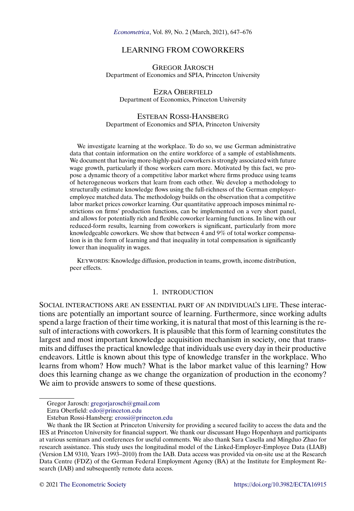<span id="page-1-0"></span>*[Econometrica](https://www.econometricsociety.org/)*, Vol. 89, No. 2 (March, 2021), 647–676

# LEARNING FROM COWORKERS

GREGOR JAROSCH Department of Economics and SPIA, Princeton University

EZRA OBERFIELD Department of Economics, Princeton University

# ESTEBAN ROSSI-HANSBERG Department of Economics and SPIA, Princeton University

We investigate learning at the workplace. To do so, we use German administrative data that contain information on the entire workforce of a sample of establishments. We document that having more-highly-paid coworkers is strongly associated with future wage growth, particularly if those workers earn more. Motivated by this fact, we propose a dynamic theory of a competitive labor market where firms produce using teams of heterogeneous workers that learn from each other. We develop a methodology to structurally estimate knowledge flows using the full-richness of the German employeremployee matched data. The methodology builds on the observation that a competitive labor market prices coworker learning. Our quantitative approach imposes minimal restrictions on firms' production functions, can be implemented on a very short panel, and allows for potentially rich and flexible coworker learning functions. In line with our reduced-form results, learning from coworkers is significant, particularly from more knowledgeable coworkers. We show that between 4 and 9% of total worker compensation is in the form of learning and that inequality in total compensation is significantly lower than inequality in wages.

KEYWORDS: Knowledge diffusion, production in teams, growth, income distribution, peer effects.

#### 1. INTRODUCTION

SOCIAL INTERACTIONS ARE AN ESSENTIAL PART OF AN INDIVIDUAL'S LIFE. These interactions are potentially an important source of learning. Furthermore, since working adults spend a large fraction of their time working, it is natural that most of this learning is the result of interactions with coworkers. It is plausible that this form of learning constitutes the largest and most important knowledge acquisition mechanism in society, one that transmits and diffuses the practical knowledge that individuals use every day in their productive endeavors. Little is known about this type of knowledge transfer in the workplace. Who learns from whom? How much? What is the labor market value of this learning? How does this learning change as we change the organization of production in the economy? We aim to provide answers to some of these questions.

Gregor Jarosch: [gregorjarosch@gmail.com](mailto:gregorjarosch@gmail.com)

Ezra Oberfield: [edo@princeton.edu](mailto:edo@princeton.edu)

Esteban Rossi-Hansberg: [erossi@princeton.edu](mailto:erossi@princeton.edu)

We thank the IR Section at Princeton University for providing a secured facility to access the data and the IES at Princeton University for financial support. We thank our discussant Hugo Hopenhayn and participants at various seminars and conferences for useful comments. We also thank Sara Casella and Mingduo Zhao for research assistance. This study uses the longitudinal model of the Linked-Employer-Employee Data (LIAB) (Version LM 9310, Years 1993–2010) from the IAB. Data access was provided via on-site use at the Research Data Centre (FDZ) of the German Federal Employment Agency (BA) at the Institute for Employment Research (IAB) and subsequently remote data access.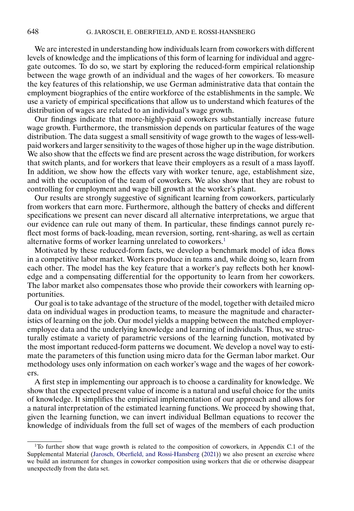<span id="page-2-0"></span>We are interested in understanding how individuals learn from coworkers with different levels of knowledge and the implications of this form of learning for individual and aggregate outcomes. To do so, we start by exploring the reduced-form empirical relationship between the wage growth of an individual and the wages of her coworkers. To measure the key features of this relationship, we use German administrative data that contain the employment biographies of the entire workforce of the establishments in the sample. We use a variety of empirical specifications that allow us to understand which features of the distribution of wages are related to an individual's wage growth.

Our findings indicate that more-highly-paid coworkers substantially increase future wage growth. Furthermore, the transmission depends on particular features of the wage distribution. The data suggest a small sensitivity of wage growth to the wages of less-wellpaid workers and larger sensitivity to the wages of those higher up in the wage distribution. We also show that the effects we find are present across the wage distribution, for workers that switch plants, and for workers that leave their employers as a result of a mass layoff. In addition, we show how the effects vary with worker tenure, age, establishment size, and with the occupation of the team of coworkers. We also show that they are robust to controlling for employment and wage bill growth at the worker's plant.

Our results are strongly suggestive of significant learning from coworkers, particularly from workers that earn more. Furthermore, although the battery of checks and different specifications we present can never discard all alternative interpretations, we argue that our evidence can rule out many of them. In particular, these findings cannot purely reflect most forms of back-loading, mean reversion, sorting, rent-sharing, as well as certain alternative forms of worker learning unrelated to coworkers.<sup>1</sup>

Motivated by these reduced-form facts, we develop a benchmark model of idea flows in a competitive labor market. Workers produce in teams and, while doing so, learn from each other. The model has the key feature that a worker's pay reflects both her knowledge and a compensating differential for the opportunity to learn from her coworkers. The labor market also compensates those who provide their coworkers with learning opportunities.

Our goal is to take advantage of the structure of the model, together with detailed micro data on individual wages in production teams, to measure the magnitude and characteristics of learning on the job. Our model yields a mapping between the matched employeremployee data and the underlying knowledge and learning of individuals. Thus, we structurally estimate a variety of parametric versions of the learning function, motivated by the most important reduced-form patterns we document. We develop a novel way to estimate the parameters of this function using micro data for the German labor market. Our methodology uses only information on each worker's wage and the wages of her coworkers.

A first step in implementing our approach is to choose a cardinality for knowledge. We show that the expected present value of income is a natural and useful choice for the units of knowledge. It simplifies the empirical implementation of our approach and allows for a natural interpretation of the estimated learning functions. We proceed by showing that, given the learning function, we can invert individual Bellman equations to recover the knowledge of individuals from the full set of wages of the members of each production

<sup>&</sup>lt;sup>1</sup>To further show that wage growth is related to the composition of coworkers, in Appendix C.1 of the Supplemental Material [\(Jarosch, Oberfield, and Rossi-Hansberg](#page-30-0) [\(2021\)](#page-30-0)) we also present an exercise where we build an instrument for changes in coworker composition using workers that die or otherwise disappear unexpectedly from the data set.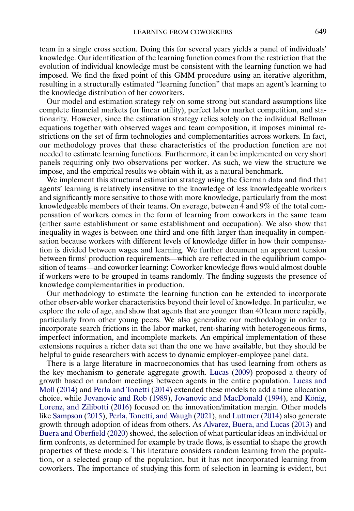<span id="page-3-0"></span>team in a single cross section. Doing this for several years yields a panel of individuals' knowledge. Our identification of the learning function comes from the restriction that the evolution of individual knowledge must be consistent with the learning function we had imposed. We find the fixed point of this GMM procedure using an iterative algorithm, resulting in a structurally estimated "learning function" that maps an agent's learning to the knowledge distribution of her coworkers.

Our model and estimation strategy rely on some strong but standard assumptions like complete financial markets (or linear utility), perfect labor market competition, and stationarity. However, since the estimation strategy relies solely on the individual Bellman equations together with observed wages and team composition, it imposes minimal restrictions on the set of firm technologies and complementarities across workers. In fact, our methodology proves that these characteristics of the production function are not needed to estimate learning functions. Furthermore, it can be implemented on very short panels requiring only two observations per worker. As such, we view the structure we impose, and the empirical results we obtain with it, as a natural benchmark.

We implement this structural estimation strategy using the German data and find that agents' learning is relatively insensitive to the knowledge of less knowledgeable workers and significantly more sensitive to those with more knowledge, particularly from the most knowledgeable members of their teams. On average, between 4 and 9% of the total compensation of workers comes in the form of learning from coworkers in the same team (either same establishment or same establishment and occupation). We also show that inequality in wages is between one third and one fifth larger than inequality in compensation because workers with different levels of knowledge differ in how their compensation is divided between wages and learning. We further document an apparent tension between firms' production requirements—which are reflected in the equilibrium composition of teams—and coworker learning: Coworker knowledge flows would almost double if workers were to be grouped in teams randomly. The finding suggests the presence of knowledge complementarities in production.

Our methodology to estimate the learning function can be extended to incorporate other observable worker characteristics beyond their level of knowledge. In particular, we explore the role of age, and show that agents that are younger than 40 learn more rapidly, particularly from other young peers. We also generalize our methodology in order to incorporate search frictions in the labor market, rent-sharing with heterogeneous firms, imperfect information, and incomplete markets. An empirical implementation of these extensions requires a richer data set than the one we have available, but they should be helpful to guide researchers with access to dynamic employer-employee panel data.

There is a large literature in macroeconomics that has used learning from others as the key mechanism to generate aggregate growth. [Lucas](#page-30-0) [\(2009\)](#page-30-0) proposed a theory of growth based on random meetings between agents in the entire population. [Lucas and](#page-30-0) [Moll](#page-30-0) [\(2014\)](#page-30-0) and [Perla and Tonetti](#page-30-0) [\(2014\)](#page-30-0) extended these models to add a time allocation choice, while [Jovanovic and Rob](#page-30-0) [\(1989\)](#page-30-0), [Jovanovic and MacDonald](#page-30-0) [\(1994\)](#page-30-0), and [König,](#page-30-0) [Lorenz, and Zilibotti](#page-30-0) [\(2016\)](#page-30-0) focused on the innovation/imitation margin. Other models like [Sampson](#page-30-0) [\(2015\)](#page-30-0), [Perla, Tonetti, and Waugh](#page-30-0) [\(2021\)](#page-30-0), and [Luttmer](#page-30-0) [\(2014\)](#page-30-0) also generate growth through adoption of ideas from others. As [Alvarez, Buera, and Lucas](#page-30-0) [\(2013\)](#page-30-0) and [Buera and Oberfield](#page-30-0) [\(2020\)](#page-30-0) showed, the selection of what particular ideas an individual or firm confronts, as determined for example by trade flows, is essential to shape the growth properties of these models. This literature considers random learning from the population, or a selected group of the population, but it has not incorporated learning from coworkers. The importance of studying this form of selection in learning is evident, but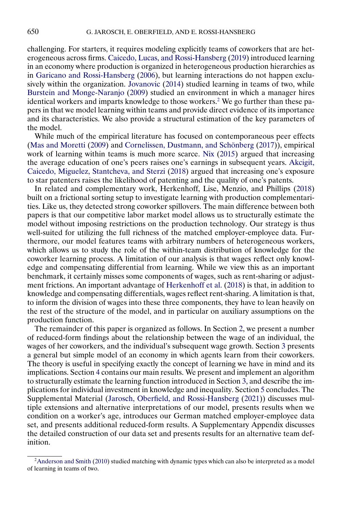challenging. For starters, it requires modeling explicitly teams of coworkers that are heterogeneous across firms. [Caicedo, Lucas, and Rossi-Hansberg](#page-30-0) [\(2019\)](#page-30-0) introduced learning in an economy where production is organized in heterogeneous production hierarchies as in [Garicano and Rossi-Hansberg](#page-30-0) [\(2006\)](#page-30-0), but learning interactions do not happen exclusively within the organization. [Jovanovic](#page-30-0) [\(2014\)](#page-30-0) studied learning in teams of two, while [Burstein and Monge-Naranjo](#page-30-0) [\(2009\)](#page-30-0) studied an environment in which a manager hires identical workers and imparts knowledge to those workers.<sup>2</sup> We go further than these papers in that we model learning within teams and provide direct evidence of its importance and its characteristics. We also provide a structural estimation of the key parameters of the model.

While much of the empirical literature has focused on contemporaneous peer effects [\(Mas and Moretti](#page-30-0) [\(2009\)](#page-30-0) and [Cornelissen, Dustmann, and Schönberg](#page-30-0) [\(2017\)](#page-30-0)), empirical work of learning within teams is much more scarce. [Nix](#page-30-0) [\(2015\)](#page-30-0) argued that increasing the average education of one's peers raises one's earnings in subsequent years. [Akcigit,](#page-30-0) [Caicedo, Miguelez, Stantcheva, and Sterzi](#page-30-0) [\(2018\)](#page-30-0) argued that increasing one's exposure to star patenters raises the likelihood of patenting and the quality of one's patents.

In related and complementary work, Herkenhoff, Lise, Menzio, and Phillips [\(2018\)](#page-30-0) built on a frictional sorting setup to investigate learning with production complementarities. Like us, they detected strong coworker spillovers. The main difference between both papers is that our competitive labor market model allows us to structurally estimate the model without imposing restrictions on the production technology. Our strategy is thus well-suited for utilizing the full richness of the matched employer-employee data. Furthermore, our model features teams with arbitrary numbers of heterogeneous workers, which allows us to study the role of the within-team distribution of knowledge for the coworker learning process. A limitation of our analysis is that wages reflect only knowledge and compensating differential from learning. While we view this as an important benchmark, it certainly misses some components of wages, such as rent-sharing or adjustment frictions. An important advantage of [Herkenhoff et al.](#page-30-0) [\(2018\)](#page-30-0) is that, in addition to knowledge and compensating differentials, wages reflect rent-sharing. A limitation is that, to inform the division of wages into these three components, they have to lean heavily on the rest of the structure of the model, and in particular on auxiliary assumptions on the production function.

The remainder of this paper is organized as follows. In Section [2,](#page-5-0) we present a number of reduced-form findings about the relationship between the wage of an individual, the wages of her coworkers, and the individual's subsequent wage growth. Section [3](#page-16-0) presents a general but simple model of an economy in which agents learn from their coworkers. The theory is useful in specifying exactly the concept of learning we have in mind and its implications. Section [4](#page-20-0) contains our main results. We present and implement an algorithm to structurally estimate the learning function introduced in Section [3,](#page-16-0) and describe the implications for individual investment in knowledge and inequality. Section [5](#page-29-0) concludes. The Supplemental Material [\(Jarosch, Oberfield, and Rossi-Hansberg](#page-30-0) [\(2021\)](#page-30-0)) discusses multiple extensions and alternative interpretations of our model, presents results when we condition on a worker's age, introduces our German matched employer-employee data set, and presents additional reduced-form results. A Supplementary Appendix discusses the detailed construction of our data set and presents results for an alternative team definition.

<sup>&</sup>lt;sup>2</sup>Anderson and Smith [\(2010\)](#page-30-0) studied matching with dynamic types which can also be interpreted as a model of learning in teams of two.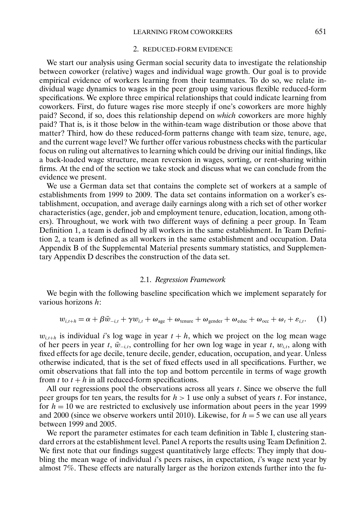#### 2. REDUCED-FORM EVIDENCE

<span id="page-5-0"></span>We start our analysis using German social security data to investigate the relationship between coworker (relative) wages and individual wage growth. Our goal is to provide empirical evidence of workers learning from their teammates. To do so, we relate individual wage dynamics to wages in the peer group using various flexible reduced-form specifications. We explore three empirical relationships that could indicate learning from coworkers. First, do future wages rise more steeply if one's coworkers are more highly paid? Second, if so, does this relationship depend on *which* coworkers are more highly paid? That is, is it those below in the within-team wage distribution or those above that matter? Third, how do these reduced-form patterns change with team size, tenure, age, and the current wage level? We further offer various robustness checks with the particular focus on ruling out alternatives to learning which could be driving our initial findings, like a back-loaded wage structure, mean reversion in wages, sorting, or rent-sharing within firms. At the end of the section we take stock and discuss what we can conclude from the evidence we present.

We use a German data set that contains the complete set of workers at a sample of establishments from 1999 to 2009. The data set contains information on a worker's establishment, occupation, and average daily earnings along with a rich set of other worker characteristics (age, gender, job and employment tenure, education, location, among others). Throughout, we work with two different ways of defining a peer group. In Team Definition 1, a team is defined by all workers in the same establishment. In Team Definition 2, a team is defined as all workers in the same establishment and occupation. Data Appendix B of the Supplemental Material presents summary statistics, and Supplementary Appendix D describes the construction of the data set.

#### 2.1. *Regression Framework*

We begin with the following baseline specification which we implement separately for various horizons h:

$$
w_{i,t+h} = \alpha + \beta \bar{w}_{-i,t} + \gamma w_{i,t} + \omega_{\text{age}} + \omega_{\text{tenure}} + \omega_{\text{gender}} + \omega_{\text{cduc}} + \omega_{\text{occ}} + \omega_t + \varepsilon_{i,t}.
$$
 (1)

 $w_{i,t+h}$  is individual i's log wage in year  $t + h$ , which we project on the log mean wage of her peers in year t,  $\bar{w}_{-i,t}$ , controlling for her own log wage in year t,  $w_{i,t}$ , along with fixed effects for age decile, tenure decile, gender, education, occupation, and year. Unless otherwise indicated, that is the set of fixed effects used in all specifications. Further, we omit observations that fall into the top and bottom percentile in terms of wage growth from t to  $t + h$  in all reduced-form specifications.

All our regressions pool the observations across all years  $t$ . Since we observe the full peer groups for ten years, the results for  $h > 1$  use only a subset of years t. For instance, for  $h = 10$  we are restricted to exclusively use information about peers in the year 1999 and 2000 (since we observe workers until 2010). Likewise, for  $h = 5$  we can use all years between 1999 and 2005.

We report the parameter estimates for each team definition in Table [I,](#page-6-0) clustering standard errors at the establishment level. Panel A reports the results using Team Definition 2. We first note that our findings suggest quantitatively large effects: They imply that doubling the mean wage of individual  $i$ 's peers raises, in expectation,  $i$ 's wage next year by almost 7%. These effects are naturally larger as the horizon extends further into the fu-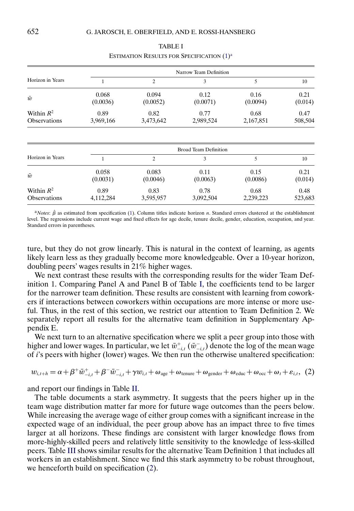<span id="page-6-0"></span>

|                                     |                   | Narrow Team Definition |                              |                   |                 |  |  |  |  |  |
|-------------------------------------|-------------------|------------------------|------------------------------|-------------------|-----------------|--|--|--|--|--|
| Horizon in Years                    |                   | 2                      | 3                            |                   | 10              |  |  |  |  |  |
| $\bar{w}$                           | 0.068<br>(0.0036) | 0.094<br>(0.0052)      | 0.12<br>(0.0071)             | 0.16<br>(0.0094)  | 0.21<br>(0.014) |  |  |  |  |  |
| Within $R^2$<br><b>Observations</b> | 0.89<br>3,969,166 | 0.82<br>3,473,642      | 0.77<br>2,989,524            | 0.68<br>2,167,851 | 0.47<br>508,504 |  |  |  |  |  |
|                                     |                   |                        | <b>Broad Team Definition</b> |                   |                 |  |  |  |  |  |
| Horizon in Years                    |                   | $\overline{c}$         | 3                            |                   | 10              |  |  |  |  |  |

TABLE I ESTIMATION RESULTS FOR SPECIFICATION  $(1)^a$  $(1)^a$ 

| $\bar{w}$           | 0.058<br>(0.0031) | 0.083<br>(0.0046) | 0.11<br>(0.0063) | 0.15<br>(0.0086) | 0.21<br>(0.014) |
|---------------------|-------------------|-------------------|------------------|------------------|-----------------|
| Within $R^2$        | 0.89              | 0.83              | 0.78             | 0.68             | 0.48            |
| <b>Observations</b> | 4.112.284         | 3,595,957         | 3,092,504        | 2,239,223        | 523,683         |
|                     |                   |                   |                  |                  |                 |

 $a_{Notes}$ :  $\hat{\beta}$  as estimated from specification [\(1\)](#page-5-0). Column titles indicate horizon *n*. Standard errors clustered at the establishment level. The regressions include current wage and fixed effects for age decile, tenure decile, gender, education, occupation, and year. Standard errors in parentheses.

ture, but they do not grow linearly. This is natural in the context of learning, as agents likely learn less as they gradually become more knowledgeable. Over a 10-year horizon, doubling peers' wages results in 21% higher wages.

We next contrast these results with the corresponding results for the wider Team Definition 1. Comparing Panel A and Panel B of Table I, the coefficients tend to be larger for the narrower team definition. These results are consistent with learning from coworkers if interactions between coworkers within occupations are more intense or more useful. Thus, in the rest of this section, we restrict our attention to Team Definition 2. We separately report all results for the alternative team definition in Supplementary Appendix E.

We next turn to an alternative specification where we split a peer group into those with higher and lower wages. In particular, we let  $\bar{w}^+_{-i,t}$  ( $\bar{w}^-_{-i,t}$ ) denote the log of the mean wage of i's peers with higher (lower) wages. We then run the otherwise unaltered specification:

$$
w_{i,t+h} = \alpha + \beta^+ \bar{w}_{-i,t}^+ + \beta^- \bar{w}_{-i,t}^- + \gamma w_{i,t} + \omega_{\text{age}} + \omega_{\text{tenure}} + \omega_{\text{gender}} + \omega_{\text{educ}} + \omega_{\text{occ}} + \omega_t + \varepsilon_{i,t}, \tag{2}
$$

and report our findings in Table [II.](#page-7-0)

The table documents a stark asymmetry. It suggests that the peers higher up in the team wage distribution matter far more for future wage outcomes than the peers below. While increasing the average wage of either group comes with a significant increase in the expected wage of an individual, the peer group above has an impact three to five times larger at all horizons. These findings are consistent with larger knowledge flows from more-highly-skilled peers and relatively little sensitivity to the knowledge of less-skilled peers. Table [III](#page-7-0) shows similar results for the alternative Team Definition 1 that includes all workers in an establishment. Since we find this stark asymmetry to be robust throughout, we henceforth build on specification (2).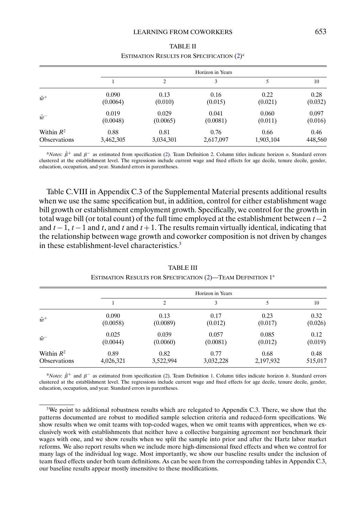<span id="page-7-0"></span>

|                     |           |                | Horizon in Years |           |         |
|---------------------|-----------|----------------|------------------|-----------|---------|
|                     |           | $\overline{c}$ | 3                |           | 10      |
| $\bar{w}^+$         | 0.090     | 0.13           | 0.16             | 0.22      | 0.28    |
|                     | (0.0064)  | (0.010)        | (0.015)          | (0.021)   | (0.032) |
| $\bar{w}^-$         | 0.019     | 0.029          | 0.041            | 0.060     | 0.097   |
|                     | (0.0048)  | (0.0065)       | (0.0081)         | (0.011)   | (0.016) |
| Within $R^2$        | 0.88      | 0.81           | 0.76             | 0.66      | 0.46    |
| <b>Observations</b> | 3,462,305 | 3,034,301      | 2,617,097        | 1,903,104 | 448,560 |

# TABLE II ESTIMATION RESULTS FOR SPECIFICATION [\(2\)](#page-6-0)<sup>a</sup>

 $a$ *Notes*:  $\hat{\beta}^+$  and  $\beta^-$  as estimated from specification [\(2\)](#page-6-0). Team Definition 2. Column titles indicate horizon *n*. Standard errors clustered at the establishment level. The regressions include current wage and fixed effects for age decile, tenure decile, gender, education, occupation, and year. Standard errors in parentheses.

Table C.VIII in Appendix C.3 of the Supplemental Material presents additional results when we use the same specification but, in addition, control for either establishment wage bill growth or establishment employment growth. Specifically, we control for the growth in total wage bill (or total count) of the full time employed at the establishment between  $t - 2$ and  $t-1$ ,  $t-1$  and  $t$ , and  $t$  and  $t+1$ . The results remain virtually identical, indicating that the relationship between wage growth and coworker composition is not driven by changes in these establishment-level characteristics<sup>3</sup>

|                     |           |           | Horizon in Years |           |         |
|---------------------|-----------|-----------|------------------|-----------|---------|
|                     |           | 2         | 3                |           | 10      |
| $\bar{w}^+$         | 0.090     | 0.13      | 0.17             | 0.23      | 0.32    |
|                     | (0.0058)  | (0.0089)  | (0.012)          | (0.017)   | (0.026) |
| $\bar{w}^-$         | 0.025     | 0.039     | 0.057            | 0.085     | 0.12    |
|                     | (0.0044)  | (0.0060)  | (0.0081)         | (0.012)   | (0.019) |
| Within $R^2$        | 0.89      | 0.82      | 0.77             | 0.68      | 0.48    |
| <b>Observations</b> | 4,026,321 | 3,522,994 | 3,032,228        | 2,197,932 | 515,017 |

TABLE III ESTIMATION RESULTS FOR SPECIFICATION [\(2\)](#page-6-0)-TEAM DEFINITION 1<sup>a</sup>

<sup>a</sup>*Notes*:  $\hat{\beta}^+$  and  $\beta^-$  as estimated from specification [\(2\)](#page-6-0). Team Definition 1. Column titles indicate horizon *h*. Standard errors clustered at the establishment level. The regressions include current wage and fixed effects for age decile, tenure decile, gender, education, occupation, and year. Standard errors in parentheses.

<sup>3</sup>We point to additional robustness results which are relegated to Appendix C.3. There, we show that the patterns documented are robust to modified sample selection criteria and reduced-form specifications. We show results when we omit teams with top-coded wages, when we omit teams with apprentices, when we exclusively work with establishments that neither have a collective bargaining agreement nor benchmark their wages with one, and we show results when we split the sample into prior and after the Hartz labor market reforms. We also report results when we include more high-dimensional fixed effects and when we control for many lags of the individual log wage. Most importantly, we show our baseline results under the inclusion of team fixed effects under both team definitions. As can be seen from the corresponding tables in Appendix C.3, our baseline results appear mostly insensitive to these modifications.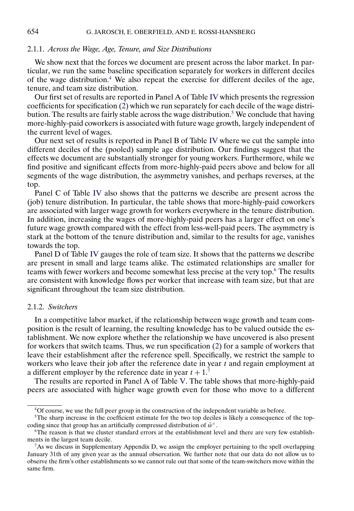#### 2.1.1. *Across the Wage, Age, Tenure, and Size Distributions*

We show next that the forces we document are present across the labor market. In particular, we run the same baseline specification separately for workers in different deciles of the wage distribution.<sup>4</sup> We also repeat the exercise for different deciles of the age, tenure, and team size distribution.

Our first set of results are reported in Panel A of Table [IV](#page-9-0) which presents the regression coefficients for specification [\(2\)](#page-6-0) which we run separately for each decile of the wage distribution. The results are fairly stable across the wage distribution.<sup>5</sup> We conclude that having more-highly-paid coworkers is associated with future wage growth, largely independent of the current level of wages.

Our next set of results is reported in Panel B of Table [IV](#page-9-0) where we cut the sample into different deciles of the (pooled) sample age distribution. Our findings suggest that the effects we document are substantially stronger for young workers. Furthermore, while we find positive and significant effects from more-highly-paid peers above and below for all segments of the wage distribution, the asymmetry vanishes, and perhaps reverses, at the top.

Panel C of Table [IV](#page-9-0) also shows that the patterns we describe are present across the (job) tenure distribution. In particular, the table shows that more-highly-paid coworkers are associated with larger wage growth for workers everywhere in the tenure distribution. In addition, increasing the wages of more-highly-paid peers has a larger effect on one's future wage growth compared with the effect from less-well-paid peers. The asymmetry is stark at the bottom of the tenure distribution and, similar to the results for age, vanishes towards the top.

Panel D of Table [IV](#page-9-0) gauges the role of team size. It shows that the patterns we describe are present in small and large teams alike. The estimated relationships are smaller for teams with fewer workers and become somewhat less precise at the very top.6 The results are consistent with knowledge flows per worker that increase with team size, but that are significant throughout the team size distribution.

# 2.1.2. *Switchers*

In a competitive labor market, if the relationship between wage growth and team composition is the result of learning, the resulting knowledge has to be valued outside the establishment. We now explore whether the relationship we have uncovered is also present for workers that switch teams. Thus, we run specification [\(2\)](#page-6-0) for a sample of workers that leave their establishment after the reference spell. Specifically, we restrict the sample to workers who leave their job after the reference date in year  $t$  and regain employment at a different employer by the reference date in year  $t + 1$ .<sup>7</sup>

The results are reported in Panel A of Table [V.](#page-10-0) The table shows that more-highly-paid peers are associated with higher wage growth even for those who move to a different

<sup>4</sup>Of course, we use the full peer group in the construction of the independent variable as before.

 $5$ The sharp increase in the coefficient estimate for the two top deciles is likely a consequence of the topcoding since that group has an artificially compressed distribution of  $\bar{w}^+$ .

<sup>&</sup>lt;sup>6</sup>The reason is that we cluster standard errors at the establishment level and there are very few establishments in the largest team decile.

<sup>7</sup>As we discuss in Supplementary Appendix D, we assign the employer pertaining to the spell overlapping January 31th of any given year as the annual observation. We further note that our data do not allow us to observe the firm's other establishments so we cannot rule out that some of the team-switchers move within the same firm.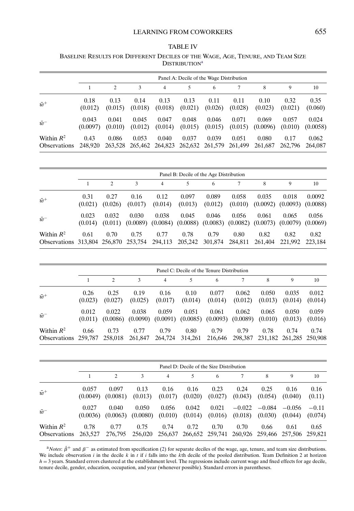<span id="page-9-0"></span>TABLE IV BASELINE RESULTS FOR DIFFERENT DECILES OF THE WAGE, AGE, TENURE, AND TEAM SIZE **DISTRIBUTION<sup>a</sup>** 

|                                     |                   |                  |                                                          |                  | Panel A: Decile of the Wage Distribution |                  |                  |                   |                  |                   |
|-------------------------------------|-------------------|------------------|----------------------------------------------------------|------------------|------------------------------------------|------------------|------------------|-------------------|------------------|-------------------|
|                                     |                   |                  | 3                                                        | 4                |                                          | 6                |                  | 8                 | 9                | 10                |
| $\bar{w}^+$                         | 0.18<br>(0.012)   | 0.13<br>(0.015)  | 0.14<br>(0.018)                                          | 0.13<br>(0.018)  | 0.13<br>(0.021)                          | 0.11<br>(0.026)  | 0.11<br>(0.028)  | 0.10<br>(0.023)   | 0.32<br>(0.021)  | 0.35<br>(0.060)   |
| $\bar{w}$ <sup>-</sup>              | 0.043<br>(0.0097) | 0.041<br>(0.010) | 0.045<br>(0.012)                                         | 0.047<br>(0.014) | 0.048<br>(0.015)                         | 0.046<br>(0.015) | 0.071<br>(0.015) | 0.069<br>(0.0096) | 0.057<br>(0.010) | 0.024<br>(0.0058) |
| Within $R^2$<br><b>Observations</b> | 0.43<br>248,920   | 0.086            | 0.053<br>263,528 265,462 264,823 262,632 261,579 261,499 | 0.040            | 0.037                                    | 0.039            | 0.051            | 0.080<br>261,687  | 0.17<br>262,796  | 0.062<br>264,087  |

|                                              |                  |                 |                 |                 | Panel B: Decile of the Age Distribution                                                                    |                  |                  |                 |                                           |                 |
|----------------------------------------------|------------------|-----------------|-----------------|-----------------|------------------------------------------------------------------------------------------------------------|------------------|------------------|-----------------|-------------------------------------------|-----------------|
|                                              |                  | $\mathcal{L}$   | 3               | $\overline{4}$  | 5                                                                                                          | 6                | 7                | 8               | 9                                         | 10              |
| $\bar{w}^+$                                  | 0.31<br>(0.021)  | 0.27<br>(0.026) | 0.16<br>(0.017) | 0.12<br>(0.014) | 0.097<br>(0.013)                                                                                           | 0.089<br>(0.012) | 0.058<br>(0.010) | 0.035           | 0.018<br>$(0.0092)$ $(0.0093)$ $(0.0088)$ | 0.0092          |
| $\bar{w}^-$                                  | 0.023<br>(0.014) | 0.032           | 0.030           | 0.038           | 0.045<br>$(0.011)$ $(0.0089)$ $(0.0084)$ $(0.0088)$ $(0.0083)$ $(0.0082)$ $(0.0073)$ $(0.0079)$ $(0.0069)$ | 0.046            | 0.056            | 0.061           | 0.065                                     | 0.056           |
| Within $R^2$<br>Observations 313,804 256,870 | 0.61             | 0.70            | 0.75<br>253,754 | 0.77<br>294,113 | 0.78<br>205,242                                                                                            | 0.79<br>301,874  | 0.80<br>284,811  | 0.82<br>261.404 | 0.82<br>221,992                           | 0.82<br>223,184 |

|                                      |                  |                 |                                           |                 | Panel C: Decile of the Tenure Distribution |                                           |                  |                  |                                 |                  |
|--------------------------------------|------------------|-----------------|-------------------------------------------|-----------------|--------------------------------------------|-------------------------------------------|------------------|------------------|---------------------------------|------------------|
|                                      |                  | $\mathcal{L}$   |                                           | 4               |                                            | 6                                         |                  | 8                | 9                               | 10               |
| $\bar{w}^+$                          | 0.26<br>(0.023)  | 0.25<br>(0.027) | 0.19<br>(0.025)                           | 0.16<br>(0.017) | 0.10<br>(0.014)                            | 0.077<br>(0.014)                          | 0.062<br>(0.012) | 0.050<br>(0.013) | 0.035<br>(0.014)                | 0.012<br>(0.014) |
| $\bar{w}^-$                          | 0.012<br>(0.011) | 0.022           | 0.038<br>$(0.0086)$ $(0.0090)$ $(0.0091)$ | 0.059           | 0.051                                      | 0.061<br>$(0.0085)$ $(0.0093)$ $(0.0089)$ | 0.062            | 0.065<br>(0.010) | 0.050<br>(0.013)                | 0.059<br>(0.016) |
| Within $R^2$<br>Observations 259,787 | 0.66             | 0.73<br>258,018 | 0.77<br>261,847                           | 0.79<br>264,724 | 0.80<br>314,261                            | 0.79<br>216,646                           | 0.79<br>298,387  | 0.78             | 0.74<br>231,182 261,285 250,908 | 0.74             |

|                                     |                   |                   |                   |                  | Panel D: Decile of the Size Distribution                        |                  |                     |                     |                     |                    |
|-------------------------------------|-------------------|-------------------|-------------------|------------------|-----------------------------------------------------------------|------------------|---------------------|---------------------|---------------------|--------------------|
|                                     |                   | $\mathfrak{D}$    | 3                 | 4                | 5                                                               | 6                |                     | 8                   | 9                   | 10                 |
| $\bar{w}^+$                         | 0.057<br>(0.0049) | 0.097<br>(0.0081) | 0.13<br>(0.013)   | 0.16<br>(0.017)  | 0.16<br>(0.020)                                                 | 0.23<br>(0.027)  | 0.24<br>(0.043)     | 0.25<br>(0.054)     | 0.16<br>(0.040)     | 0.16<br>(0.11)     |
| $\bar{w}$ <sup>-</sup>              | 0.027<br>(0.0036) | 0.040<br>(0.0063) | 0.050<br>(0.0080) | 0.056<br>(0.010) | 0.042<br>(0.014)                                                | 0.021<br>(0.016) | $-0.022$<br>(0.018) | $-0.084$<br>(0.030) | $-0.056$<br>(0.044) | $-0.11$<br>(0.074) |
| Within $R^2$<br><b>Observations</b> | 0.78<br>263,527   | 0.77<br>276,795   | 0.75<br>256,020   | 0.74             | 0.72<br>256,637 266,652 259,741 260,926 259,466 257,506 259,821 | 0.70             | 0.70                | 0.66                | 0.61                | 0.65               |

 $a$ *Notes*:  $\hat{\beta}$ <sup>+</sup> and  $\beta$ <sup>-</sup> as estimated from specification [\(2\)](#page-6-0) for separate deciles of the wage, age, tenure, and team size distributions. We include observation i in the decile k in t if i falls into the kth decile of the pooled distribution. Team Definition 2 at horizon  $h = 3$  years. Standard errors clustered at the establishment level. The regressions include current wage and fixed effects for age decile, tenure decile, gender, education, occupation, and year (whenever possible). Standard errors in parentheses.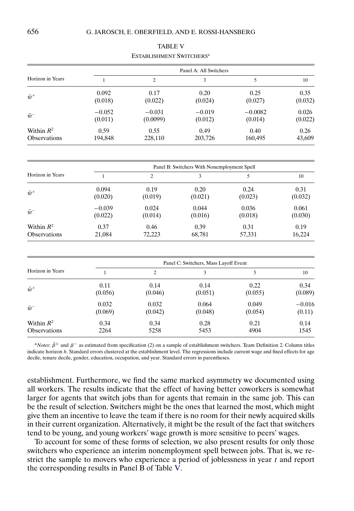<span id="page-10-0"></span>

|                     |              |                | Panel A: All Switchers                      |           |          |
|---------------------|--------------|----------------|---------------------------------------------|-----------|----------|
| Horizon in Years    | 1            | $\overline{c}$ | 3                                           | 5         | 10       |
| $\bar{w}^+$         | 0.092        | 0.17           | 0.20                                        | 0.25      | 0.35     |
|                     | (0.018)      | (0.022)        | (0.024)                                     | (0.027)   | (0.032)  |
| $\bar{w}^-$         | $-0.052$     | $-0.031$       | $-0.019$                                    | $-0.0082$ | 0.026    |
|                     | (0.011)      | (0.0099)       | (0.012)                                     | (0.014)   | (0.022)  |
| Within $R^2$        | 0.59         | 0.55           | 0.49                                        | 0.40      | 0.26     |
| <b>Observations</b> | 194,848      | 228,110        | 203,726                                     | 160,495   | 43,609   |
|                     |              |                | Panel B: Switchers With Nonemployment Spell |           |          |
| Horizon in Years    | $\mathbf{1}$ | $\overline{c}$ | 3                                           | 5         | 10       |
| $\bar{w}^+$         | 0.094        | 0.19           | 0.20                                        | 0.24      | 0.31     |
|                     | (0.020)      | (0.019)        | (0.021)                                     | (0.023)   | (0.032)  |
| $\bar{w}^-$         | $-0.039$     | 0.024          | 0.044                                       | 0.036     | 0.061    |
|                     | (0.022)      | (0.014)        | (0.016)                                     | (0.018)   | (0.030)  |
| Within $R^2$        | 0.37         | 0.46           | 0.39                                        | 0.31      | 0.19     |
| Observations        | 21,084       | 72,223         | 68,781                                      | 57,331    | 16,224   |
|                     |              |                | Panel C: Switchers, Mass Layoff Event       |           |          |
| Horizon in Years    | $\mathbf{1}$ | $\overline{c}$ | 3                                           | 5         | 10       |
| $\bar{w}^+$         | 0.11         | 0.14           | 0.14                                        | 0.22      | 0.34     |
|                     | (0.056)      | (0.046)        | (0.051)                                     | (0.055)   | (0.089)  |
| $\bar{w}^-$         | 0.032        | 0.032          | 0.064                                       | 0.049     | $-0.016$ |
|                     | (0.069)      | (0.042)        | (0.048)                                     | (0.054)   | (0.11)   |
| Within $R^2$        | 0.34         | 0.34           | 0.28                                        | 0.21      | 0.14     |

TABLE V ESTABLISHMENT SWITCHERSa

 $a$ *Notes*:  $\hat{\beta}^+$  and  $\beta^-$  as estimated from specification [\(2\)](#page-6-0) on a sample of establishment switchers. Team Definition 2. Column titles indicate horizon h. Standard errors clustered at the establishment level. The regressions include current wage and fixed effects for age decile, tenure decile, gender, education, occupation, and year. Standard errors in parentheses.

Observations 2264 5258 5453 4904 1545

establishment. Furthermore, we find the same marked asymmetry we documented using all workers. The results indicate that the effect of having better coworkers is somewhat larger for agents that switch jobs than for agents that remain in the same job. This can be the result of selection. Switchers might be the ones that learned the most, which might give them an incentive to leave the team if there is no room for their newly acquired skills in their current organization. Alternatively, it might be the result of the fact that switchers tend to be young, and young workers' wage growth is more sensitive to peers' wages.

To account for some of these forms of selection, we also present results for only those switchers who experience an interim nonemployment spell between jobs. That is, we restrict the sample to movers who experience a period of joblessness in year  $t$  and report the corresponding results in Panel B of Table V.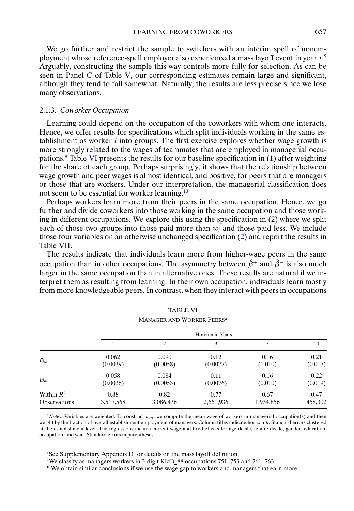We go further and restrict the sample to switchers with an interim spell of nonemployment whose reference-spell employer also experienced a mass layoff event in year  $t$ .<sup>8</sup> Arguably, constructing the sample this way controls more fully for selection. As can be seen in Panel C of Table [V,](#page-10-0) our corresponding estimates remain large and significant, although they tend to fall somewhat. Naturally, the results are less precise since we lose many observations.

#### 2.1.3. *Coworker Occupation*

Learning could depend on the occupation of the coworkers with whom one interacts. Hence, we offer results for specifications which split individuals working in the same establishment as worker  $i$  into groups. The first exercise explores whether wage growth is more strongly related to the wages of teammates that are employed in managerial occupations.9 Table VI presents the results for our baseline specification in [\(1\)](#page-5-0) after weighting for the share of each group. Perhaps surprisingly, it shows that the relationship between wage growth and peer wages is almost identical, and positive, for peers that are managers or those that are workers. Under our interpretation, the managerial classification does not seem to be essential for worker learning.10

Perhaps workers learn more from their peers in the same occupation. Hence, we go further and divide coworkers into those working in the same occupation and those working in different occupations. We explore this using the specification in [\(2\)](#page-6-0) where we split each of those two groups into those paid more than  $w_i$  and those paid less. We include those four variables on an otherwise unchanged specification [\(2\)](#page-6-0) and report the results in Table [VII.](#page-12-0)

The results indicate that individuals learn more from higher-wage peers in the same occupation than in other occupations. The asymmetry between  $\hat{\beta}^+$  and  $\hat{\beta}^-$  is also much larger in the same occupation than in alternative ones. These results are natural if we interpret them as resulting from learning. In their own occupation, individuals learn mostly from more knowledgeable peers. In contrast, when they interact with peers in occupations

|                     |           | MANAGER AND WORKER PEERS" |                  |           |         |
|---------------------|-----------|---------------------------|------------------|-----------|---------|
|                     |           |                           | Horizon in Years |           |         |
|                     |           | 2                         | 3                |           | 10      |
| $\bar{w}_w$         | 0.062     | 0.090                     | 0.12             | 0.16      | 0.21    |
|                     | (0.0039)  | (0.0058)                  | (0.0077)         | (0.010)   | (0.017) |
| $\bar{w}_m$         | 0.058     | 0.084                     | 0.11             | 0.16      | 0.22    |
|                     | (0.0036)  | (0.0053)                  | (0.0076)         | (0.010)   | (0.019) |
| Within $R^2$        | 0.88      | 0.82                      | 0.77             | 0.67      | 0.47    |
| <b>Observations</b> | 3,517,568 | 3,086,436                 | 2,661,936        | 1,934,856 | 458,302 |

TABLE VI MANAGER AND WORKER PEERS

 $a$ *Notes*: Variables are weighted: To construct  $\bar{w}_m$ , we compute the mean wage of workers in managerial occupation(s) and then weight by the fraction of overall establishment employment of managers. Column titles indicate horizon h. Standard errors clustered at the establishment level. The regressions include current wage and fixed effects for age decile, tenure decile, gender, education, occupation, and year. Standard errors in parentheses.

<sup>8</sup>See Supplementary Appendix D for details on the mass layoff definition.

9We classify as managers workers in 3-digit KldB\_88 occupations 751–753 and 761–763.

 $10$ We obtain similar conclusions if we use the wage gap to workers and managers that earn more.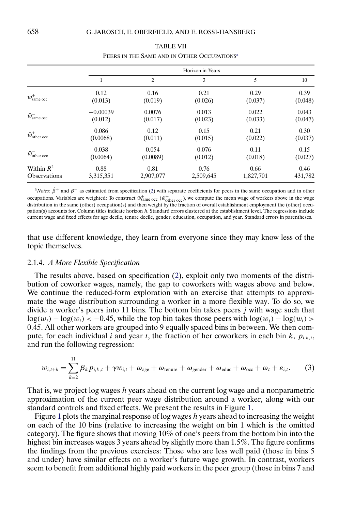<span id="page-12-0"></span>

|                                |            |           | Horizon in Years |           |         |
|--------------------------------|------------|-----------|------------------|-----------|---------|
|                                | 1          | 2         | 3                | 5         | 10      |
| $\bar{w}^+_{\rm same\, occ}$   | 0.12       | 0.16      | 0.21             | 0.29      | 0.39    |
|                                | (0.013)    | (0.019)   | (0.026)          | (0.037)   | (0.048) |
| $\bar{w}_{\rm same\,occ}^-$    | $-0.00039$ | 0.0076    | 0.013            | 0.022     | 0.043   |
|                                | (0.012)    | (0.017)   | (0.023)          | (0.033)   | (0.047) |
| $\bar{w}^+_{\text{other occ}}$ | 0.086      | 0.12      | 0.15             | 0.21      | 0.30    |
|                                | (0.0068)   | (0.011)   | (0.015)          | (0.022)   | (0.037) |
| $\bar{w}_{\text{other occ}}^-$ | 0.038      | 0.054     | 0.076            | 0.11      | 0.15    |
|                                | (0.0064)   | (0.0089)  | (0.012)          | (0.018)   | (0.027) |
| Within $R^2$                   | 0.88       | 0.81      | 0.76             | 0.66      | 0.46    |
| <b>Observations</b>            | 3,315,351  | 2,907,077 | 2,509,645        | 1,827,701 | 431,782 |

| <b>TABLE VII</b>                                        |
|---------------------------------------------------------|
| PEERS IN THE SAME AND IN OTHER OCCUPATIONS <sup>a</sup> |

a<sup>*Notes*:  $\hat{\beta}$ <sup>+</sup> and  $\beta$ <sup>−</sup> as estimated from specification [\(2\)](#page-6-0) with separate coefficients for peers in the same occupation and in other</sup> occupations. Variables are weighted: To construct  $\bar{w}^+_{\text{same occ}}$  ( $\bar{w}^+_{\text{other occ}}$ ), we compute the mean wage of workers above in the wage distribution in the same (other) occupation(s) and then weight by the fraction of overall establishment employment the (other) occupation(s) accounts for. Column titles indicate horizon h. Standard errors clustered at the establishment level. The regressions include current wage and fixed effects for age decile, tenure decile, gender, education, occupation, and year. Standard errors in parentheses.

that use different knowledge, they learn from everyone since they may know less of the topic themselves.

#### 2.1.4. *A More Flexible Specification*

The results above, based on specification [\(2\)](#page-6-0), exploit only two moments of the distribution of coworker wages, namely, the gap to coworkers with wages above and below. We continue the reduced-form exploration with an exercise that attempts to approximate the wage distribution surrounding a worker in a more flexible way. To do so, we divide a worker's peers into 11 bins. The bottom bin takes peers  $j$  with wage such that  $log(w_i) - log(w_i) < -0.45$ , while the top bin takes those peers with  $log(w_i) - log(w_i) >$ 045. All other workers are grouped into 9 equally spaced bins in between. We then compute, for each individual *i* and year *t*, the fraction of her coworkers in each bin *k*,  $p_{i,k,t}$ , and run the following regression:

$$
w_{i,t+h} = \sum_{k=2}^{11} \beta_k p_{i,k,t} + \gamma w_{i,t} + \omega_{\text{age}} + \omega_{\text{tenure}} + \omega_{\text{gender}} + \omega_{\text{educ}} + \omega_{\text{occ}} + \omega_t + \varepsilon_{i,t}.
$$
 (3)

That is, we project log wages h years ahead on the current log wage and a nonparametric approximation of the current peer wage distribution around a worker, along with our standard controls and fixed effects. We present the results in Figure [1.](#page-13-0)

Figure [1](#page-13-0) plots the marginal response of log wages  $h$  years ahead to increasing the weight on each of the 10 bins (relative to increasing the weight on bin 1 which is the omitted category). The figure shows that moving  $10\%$  of one's peers from the bottom bin into the highest bin increases wages 3 years ahead by slightly more than 1.5%. The figure confirms the findings from the previous exercises: Those who are less well paid (those in bins 5 and under) have similar effects on a worker's future wage growth. In contrast, workers seem to benefit from additional highly paid workers in the peer group (those in bins 7 and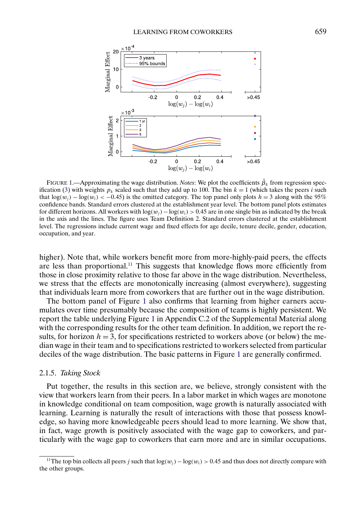<span id="page-13-0"></span>

FIGURE 1.—Approximating the wage distribution. *Notes*: We plot the coefficients  $\hat{\beta}_k$  from regression spec-ification [\(3\)](#page-12-0) with weights  $p_k$  scaled such that they add up to 100. The bin  $k = 1$  (which takes the peers i such that  $log(w_i) - log(w_i) < -0.45$ ) is the omitted category. The top panel only plots  $h = 3$  along with the 95% confidence bands. Standard errors clustered at the establishment year level. The bottom panel plots estimates for different horizons. All workers with  $log(w_i) - log(w_i) > 0.45$  are in one single bin as indicated by the break in the axis and the lines. The figure uses Team Definition 2. Standard errors clustered at the establishment level. The regressions include current wage and fixed effects for age decile, tenure decile, gender, education, occupation, and year.

higher). Note that, while workers benefit more from more-highly-paid peers, the effects are less than proportional.<sup>11</sup> This suggests that knowledge flows more efficiently from those in close proximity relative to those far above in the wage distribution. Nevertheless, we stress that the effects are monotonically increasing (almost everywhere), suggesting that individuals learn more from coworkers that are further out in the wage distribution.

The bottom panel of Figure 1 also confirms that learning from higher earners accumulates over time presumably because the composition of teams is highly persistent. We report the table underlying Figure 1 in Appendix C.2 of the Supplemental Material along with the corresponding results for the other team definition. In addition, we report the results, for horizon  $h = 3$ , for specifications restricted to workers above (or below) the median wage in their team and to specifications restricted to workers selected from particular deciles of the wage distribution. The basic patterns in Figure 1 are generally confirmed.

#### 2.1.5. *Taking Stock*

Put together, the results in this section are, we believe, strongly consistent with the view that workers learn from their peers. In a labor market in which wages are monotone in knowledge conditional on team composition, wage growth is naturally associated with learning. Learning is naturally the result of interactions with those that possess knowledge, so having more knowledgeable peers should lead to more learning. We show that, in fact, wage growth is positively associated with the wage gap to coworkers, and particularly with the wage gap to coworkers that earn more and are in similar occupations.

<sup>&</sup>lt;sup>11</sup>The top bin collects all peers j such that  $log(w_i) - log(w_i) > 0.45$  and thus does not directly compare with the other groups.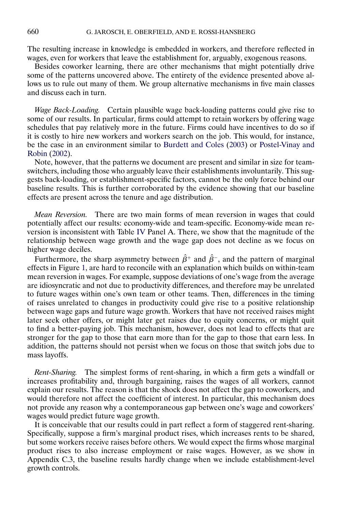<span id="page-14-0"></span>The resulting increase in knowledge is embedded in workers, and therefore reflected in wages, even for workers that leave the establishment for, arguably, exogenous reasons.

Besides coworker learning, there are other mechanisms that might potentially drive some of the patterns uncovered above. The entirety of the evidence presented above allows us to rule out many of them. We group alternative mechanisms in five main classes and discuss each in turn.

*Wage Back-Loading.* Certain plausible wage back-loading patterns could give rise to some of our results. In particular, firms could attempt to retain workers by offering wage schedules that pay relatively more in the future. Firms could have incentives to do so if it is costly to hire new workers and workers search on the job. This would, for instance, be the case in an environment similar to [Burdett and Coles](#page-30-0) [\(2003\)](#page-30-0) or [Postel-Vinay and](#page-30-0) [Robin](#page-30-0) [\(2002\)](#page-30-0).

Note, however, that the patterns we document are present and similar in size for teamswitchers, including those who arguably leave their establishments involuntarily. This suggests back-loading, or establishment-specific factors, cannot be the only force behind our baseline results. This is further corroborated by the evidence showing that our baseline effects are present across the tenure and age distribution.

*Mean Reversion.* There are two main forms of mean reversion in wages that could potentially affect our results: economy-wide and team-specific. Economy-wide mean reversion is inconsistent with Table [IV](#page-9-0) Panel A. There, we show that the magnitude of the relationship between wage growth and the wage gap does not decline as we focus on higher wage deciles.

Furthermore, the sharp asymmetry between  $\hat{\beta}$ <sup>+</sup> and  $\hat{\beta}$ <sup>-</sup>, and the pattern of marginal effects in Figure [1,](#page-13-0) are hard to reconcile with an explanation which builds on within-team mean reversion in wages. For example, suppose deviations of one's wage from the average are idiosyncratic and not due to productivity differences, and therefore may be unrelated to future wages within one's own team or other teams. Then, differences in the timing of raises unrelated to changes in productivity could give rise to a positive relationship between wage gaps and future wage growth. Workers that have not received raises might later seek other offers, or might later get raises due to equity concerns, or might quit to find a better-paying job. This mechanism, however, does not lead to effects that are stronger for the gap to those that earn more than for the gap to those that earn less. In addition, the patterns should not persist when we focus on those that switch jobs due to mass layoffs.

*Rent-Sharing.* The simplest forms of rent-sharing, in which a firm gets a windfall or increases profitability and, through bargaining, raises the wages of all workers, cannot explain our results. The reason is that the shock does not affect the gap to coworkers, and would therefore not affect the coefficient of interest. In particular, this mechanism does not provide any reason why a contemporaneous gap between one's wage and coworkers' wages would predict future wage growth.

It is conceivable that our results could in part reflect a form of staggered rent-sharing. Specifically, suppose a firm's marginal product rises, which increases rents to be shared, but some workers receive raises before others. We would expect the firms whose marginal product rises to also increase employment or raise wages. However, as we show in Appendix C.3, the baseline results hardly change when we include establishment-level growth controls.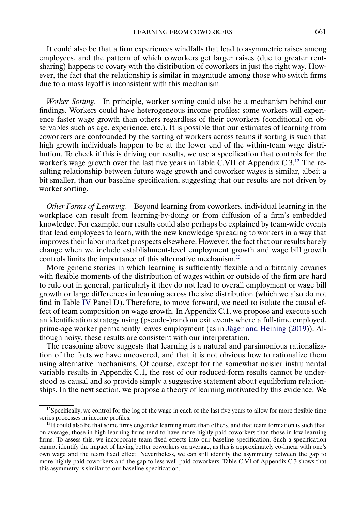It could also be that a firm experiences windfalls that lead to asymmetric raises among employees, and the pattern of which coworkers get larger raises (due to greater rentsharing) happens to covary with the distribution of coworkers in just the right way. However, the fact that the relationship is similar in magnitude among those who switch firms due to a mass layoff is inconsistent with this mechanism.

*Worker Sorting.* In principle, worker sorting could also be a mechanism behind our findings. Workers could have heterogeneous income profiles: some workers will experience faster wage growth than others regardless of their coworkers (conditional on observables such as age, experience, etc.). It is possible that our estimates of learning from coworkers are confounded by the sorting of workers across teams if sorting is such that high growth individuals happen to be at the lower end of the within-team wage distribution. To check if this is driving our results, we use a specification that controls for the worker's wage growth over the last five years in Table C.VII of Appendix  $C.3<sup>12</sup>$ . The resulting relationship between future wage growth and coworker wages is similar, albeit a bit smaller, than our baseline specification, suggesting that our results are not driven by worker sorting.

*Other Forms of Learning.* Beyond learning from coworkers, individual learning in the workplace can result from learning-by-doing or from diffusion of a firm's embedded knowledge. For example, our results could also perhaps be explained by team-wide events that lead employees to learn, with the new knowledge spreading to workers in a way that improves their labor market prospects elsewhere. However, the fact that our results barely change when we include establishment-level employment growth and wage bill growth controls limits the importance of this alternative mechanism.13

More generic stories in which learning is sufficiently flexible and arbitrarily covaries with flexible moments of the distribution of wages within or outside of the firm are hard to rule out in general, particularly if they do not lead to overall employment or wage bill growth or large differences in learning across the size distribution (which we also do not find in Table [IV](#page-9-0) Panel D). Therefore, to move forward, we need to isolate the causal effect of team composition on wage growth. In Appendix C.1, we propose and execute such an identification strategy using (pseudo-)random exit events where a full-time employed, prime-age worker permanently leaves employment (as in [Jäger and Heining](#page-30-0) [\(2019\)](#page-30-0)). Although noisy, these results are consistent with our interpretation.

The reasoning above suggests that learning is a natural and parsimonious rationalization of the facts we have uncovered, and that it is not obvious how to rationalize them using alternative mechanisms. Of course, except for the somewhat noisier instrumental variable results in Appendix C.1, the rest of our reduced-form results cannot be understood as causal and so provide simply a suggestive statement about equilibrium relationships. In the next section, we propose a theory of learning motivated by this evidence. We

 $12$ Specifically, we control for the log of the wage in each of the last five years to allow for more flexible time series processes in income profiles.

<sup>&</sup>lt;sup>13</sup>It could also be that some firms engender learning more than others, and that team formation is such that, on average, those in high-learning firms tend to have more-highly-paid coworkers than those in low-learning firms. To assess this, we incorporate team fixed effects into our baseline specification. Such a specification cannot identify the impact of having better coworkers on average, as this is approximately co-linear with one's own wage and the team fixed effect. Nevertheless, we can still identify the asymmetry between the gap to more-highly-paid coworkers and the gap to less-well-paid coworkers. Table C.VI of Appendix C.3 shows that this asymmetry is similar to our baseline specification.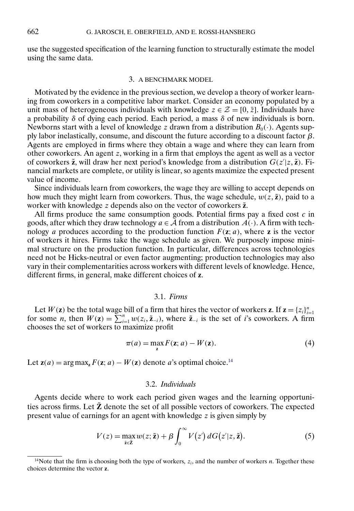<span id="page-16-0"></span>use the suggested specification of the learning function to structurally estimate the model using the same data.

#### 3. A BENCHMARK MODEL

Motivated by the evidence in the previous section, we develop a theory of worker learning from coworkers in a competitive labor market. Consider an economy populated by a unit mass of heterogeneous individuals with knowledge  $z \in \mathcal{Z} = [0, \bar{z}]$ . Individuals have a probability δ of dying each period. Each period, a mass δ of new individuals is born. Newborns start with a level of knowledge z drawn from a distribution  $B_0(\cdot)$ . Agents supply labor inelastically, consume, and discount the future according to a discount factor  $\beta$ . Agents are employed in firms where they obtain a wage and where they can learn from other coworkers. An agent z, working in a firm that employs the agent as well as a vector of coworkers  $\tilde{z}$ , will draw her next period's knowledge from a distribution  $G(z'|z, \tilde{z})$ . Financial markets are complete, or utility is linear, so agents maximize the expected present value of income.

Since individuals learn from coworkers, the wage they are willing to accept depends on how much they might learn from coworkers. Thus, the wage schedule,  $w(z, \tilde{z})$ , paid to a worker with knowledge z depends also on the vector of coworkers  $\tilde{z}$ .

All firms produce the same consumption goods. Potential firms pay a fixed cost  $c$  in goods, after which they draw technology  $a \in \tilde{A}$  from a distribution  $A(\cdot)$ . A firm with technology a produces according to the production function  $F(z; a)$ , where **z** is the vector of workers it hires. Firms take the wage schedule as given. We purposely impose minimal structure on the production function. In particular, differences across technologies need not be Hicks-neutral or even factor augmenting; production technologies may also vary in their complementarities across workers with different levels of knowledge. Hence, different firms, in general, make different choices of **z**.

# 3.1. *Firms*

Let  $W(z)$  be the total wage bill of a firm that hires the vector of workers **z**. If  $z = \{z_i\}_{i=1}^n$  for some *n*, then  $W(z) = \sum_{i=1}^n w(z_i, \tilde{z}_{-i})$ , where  $\tilde{z}_{-i}$  is the set of *i*'s coworkers. A firm chooses the set of workers to maximize profit

$$
\pi(a) = \max_{\mathbf{z}} F(\mathbf{z}; a) - W(\mathbf{z}).\tag{4}
$$

Let  $z(a) = \arg \max_z F(z; a) - W(z)$  denote a's optimal choice.<sup>14</sup>

# 3.2. *Individuals*

Agents decide where to work each period given wages and the learning opportunities across firms. Let  $\tilde{Z}$  denote the set of all possible vectors of coworkers. The expected present value of earnings for an agent with knowledge  $z$  is given simply by

$$
V(z) = \max_{\tilde{z}\in\tilde{z}} w(z;\tilde{z}) + \beta \int_0^\infty V(z') dG(z'|z,\tilde{z}).
$$
\n(5)

<sup>&</sup>lt;sup>14</sup>Note that the firm is choosing both the type of workers,  $z_i$ , and the number of workers n. Together these choices determine the vector **z**.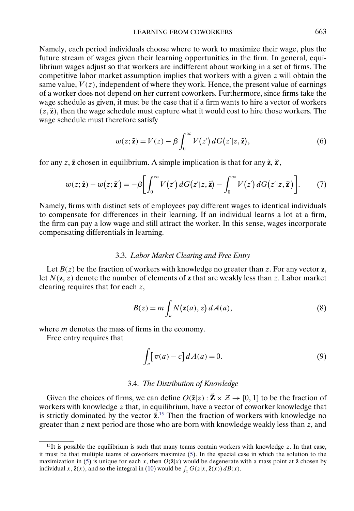<span id="page-17-0"></span>Namely, each period individuals choose where to work to maximize their wage, plus the future stream of wages given their learning opportunities in the firm. In general, equilibrium wages adjust so that workers are indifferent about working in a set of firms. The competitive labor market assumption implies that workers with a given  $z$  will obtain the same value,  $V(z)$ , independent of where they work. Hence, the present value of earnings of a worker does not depend on her current coworkers. Furthermore, since firms take the wage schedule as given, it must be the case that if a firm wants to hire a vector of workers  $(z, \tilde{z})$ , then the wage schedule must capture what it would cost to hire those workers. The wage schedule must therefore satisfy

$$
w(z; \tilde{z}) = V(z) - \beta \int_0^\infty V(z') dG(z'|z, \tilde{z}), \tag{6}
$$

for any  $z$ ,  $\tilde{z}$  chosen in equilibrium. A simple implication is that for any  $\tilde{z}$ ,  $\tilde{z}'$ ,

$$
w(z; \tilde{\mathbf{z}}) - w(z; \tilde{\mathbf{z}}') = -\beta \bigg[ \int_0^\infty V(z') \, dG(z'|z, \tilde{\mathbf{z}}) - \int_0^\infty V(z') \, dG(z'|z, \tilde{\mathbf{z}}') \bigg]. \tag{7}
$$

Namely, firms with distinct sets of employees pay different wages to identical individuals to compensate for differences in their learning. If an individual learns a lot at a firm, the firm can pay a low wage and still attract the worker. In this sense, wages incorporate compensating differentials in learning.

#### 3.3. *Labor Market Clearing and Free Entry*

Let  $B(z)$  be the fraction of workers with knowledge no greater than z. For any vector **z**, let N(**z**-z) denote the number of elements of **z** that are weakly less than z. Labor market clearing requires that for each z,

$$
B(z) = m \int_{a} N(\mathbf{z}(a), z) dA(a), \tag{8}
$$

where *m* denotes the mass of firms in the economy.

Free entry requires that

$$
\int_{a} \left[ \pi(a) - c \right] dA(a) = 0. \tag{9}
$$

#### 3.4. *The Distribution of Knowledge*

Given the choices of firms, we can define  $O(\tilde{\mathbf{z}}|z) : \tilde{\mathbf{Z}} \times \mathcal{Z} \to [0, 1]$  to be the fraction of workers with knowledge z that, in equilibrium, have a vector of coworker knowledge that is strictly dominated by the vector  $\tilde{z}$ <sup>15</sup>. Then the fraction of workers with knowledge no greater than z next period are those who are born with knowledge weakly less than z, and

 $15$ It is possible the equilibrium is such that many teams contain workers with knowledge z. In that case, it must be that multiple teams of coworkers maximize [\(5\)](#page-16-0). In the special case in which the solution to the maximization in [\(5\)](#page-16-0) is unique for each x, then  $O(\tilde{\mathbf{z}}|x)$  would be degenerate with a mass point at  $\tilde{\mathbf{z}}$  chosen by individual x,  $\tilde{\mathbf{z}}(x)$ , and so the integral in [\(10\)](#page-18-0) would be  $\int_x G(z|x, \tilde{\mathbf{z}}(x)) dB(x)$ .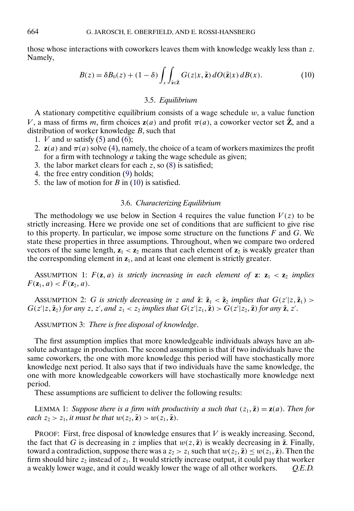<span id="page-18-0"></span>those whose interactions with coworkers leaves them with knowledge weakly less than z. Namely,

$$
B(z) = \delta B_0(z) + (1 - \delta) \int_x \int_{\tilde{z} \in \tilde{Z}} G(z | x, \tilde{z}) dO(\tilde{z} | x) dB(x).
$$
 (10)

# 3.5. *Equilibrium*

A stationary competitive equilibrium consists of a wage schedule  $w$ , a value function V, a mass of firms m, firm choices  $z(a)$  and profit  $\pi(a)$ , a coworker vector set  $\tilde{z}$ , and a distribution of worker knowledge  $B$ , such that

- 1.  $V$  and  $w$  satisfy [\(5\)](#page-16-0) and [\(6\)](#page-17-0);
- 2.  $z(a)$  and  $\pi(a)$  solve [\(4\)](#page-16-0), namely, the choice of a team of workers maximizes the profit for a firm with technology  $a$  taking the wage schedule as given;
- 3. the labor market clears for each  $\overline{z}$ , so [\(8\)](#page-17-0) is satisfied;
- 4. the free entry condition [\(9\)](#page-17-0) holds;
- 5. the law of motion for  $B$  in (10) is satisfied.

# 3.6. *Characterizing Equilibrium*

The methodology we use below in Section [4](#page-20-0) requires the value function  $V(z)$  to be strictly increasing. Here we provide one set of conditions that are sufficient to give rise to this property. In particular, we impose some structure on the functions  $F$  and  $G$ . We state these properties in three assumptions. Throughout, when we compare two ordered vectors of the same length,  $z_1 < z_2$  means that each element of  $z_2$  is weakly greater than the corresponding element in **z**1, and at least one element is strictly greater.

ASSUMPTION 1:  $F(\mathbf{z}, a)$  *is strictly increasing in each element of*  $\mathbf{z}: \mathbf{z}_1 < \mathbf{z}_2$  *implies*  $F(z_1, a) < F(z_2, a).$ 

ASSUMPTION 2: G is strictly decreasing in z and  $\tilde{\mathbf{z}}$ :  $\tilde{\mathbf{z}}_1 < \tilde{\mathbf{z}}_2$  implies that  $G(z'|z, \tilde{\mathbf{z}}_1)$  >  $G(z'|z, \tilde{z}_2)$  for any z, z', and  $z_1 < z_2$  implies that  $G(z'|z_1, \tilde{z}) > G(z'|z_2, \tilde{z})$  for any  $\tilde{z}, z'$ .

ASSUMPTION 3: *There is free disposal of knowledge*.

The first assumption implies that more knowledgeable individuals always have an absolute advantage in production. The second assumption is that if two individuals have the same coworkers, the one with more knowledge this period will have stochastically more knowledge next period. It also says that if two individuals have the same knowledge, the one with more knowledgeable coworkers will have stochastically more knowledge next period.

These assumptions are sufficient to deliver the following results:

LEMMA 1: Suppose there is a firm with productivity a such that  $(z_1, \tilde{z}) = z(a)$ . Then for *each*  $z_2 > z_1$ *, it must be that*  $w(z_2, \tilde{z}) > w(z_1, \tilde{z})$ *.* 

**PROOF:** First, free disposal of knowledge ensures that  $V$  is weakly increasing. Second, the fact that G is decreasing in z implies that  $w(z, \tilde{z})$  is weakly decreasing in  $\tilde{z}$ . Finally, toward a contradiction, suppose there was a  $z_2 > z_1$  such that  $w(z_2, \tilde{z}) \leq w(z_1, \tilde{z})$ . Then the firm should hire  $z_2$  instead of  $z_1$ . It would strictly increase output, it could pay that worker a weakly lower wage, and it could weakly lower the wage of all other workers. *Q.E.D.*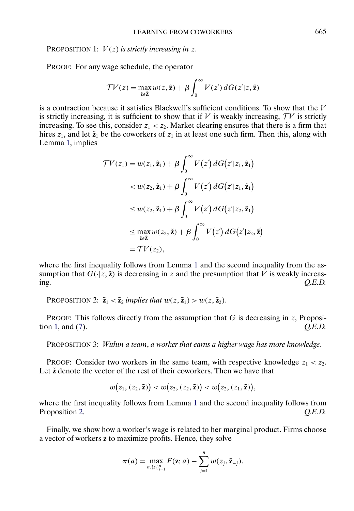PROPOSITION 1:  $V(z)$  *is strictly increasing in z.* 

PROOF: For any wage schedule, the operator

$$
\mathcal{T}V(z) = \max_{\tilde{\mathbf{z}} \in \tilde{\mathbf{Z}}} w(z, \tilde{\mathbf{z}}) + \beta \int_0^\infty V(z') dG(z'|z, \tilde{\mathbf{z}})
$$

is a contraction because it satisfies Blackwell's sufficient conditions. To show that the  $V$ is strictly increasing, it is sufficient to show that if V is weakly increasing,  $TV$  is strictly increasing. To see this, consider  $z_1 < z_2$ . Market clearing ensures that there is a firm that hires  $z_1$ , and let  $\tilde{z}_1$  be the coworkers of  $z_1$  in at least one such firm. Then this, along with Lemma [1,](#page-18-0) implies

$$
\mathcal{TV}(z_1) = w(z_1, \tilde{\mathbf{z}}_1) + \beta \int_0^\infty V(z') dG(z' | z_1, \tilde{\mathbf{z}}_1)
$$
  

$$
< w(z_2, \tilde{\mathbf{z}}_1) + \beta \int_0^\infty V(z') dG(z' | z_1, \tilde{\mathbf{z}}_1)
$$
  

$$
\leq w(z_2, \tilde{\mathbf{z}}_1) + \beta \int_0^\infty V(z') dG(z' | z_2, \tilde{\mathbf{z}}_1)
$$
  

$$
\leq \max_{\tilde{\mathbf{z}} \in \tilde{\mathbf{Z}}} w(z_2, \tilde{\mathbf{z}}) + \beta \int_0^\infty V(z') dG(z' | z_2, \tilde{\mathbf{z}})
$$
  

$$
= \mathcal{TV}(z_2),
$$

where the first inequality follows from Lemma [1](#page-18-0) and the second inequality from the assumption that  $G(\cdot|z, \tilde{z})$  is decreasing in z and the presumption that V is weakly increasing. *Q.E.D.*

PROPOSITION 2:  $\tilde{\mathbf{z}}_1 < \tilde{\mathbf{z}}_2$  *implies that*  $w(z, \tilde{\mathbf{z}}_1) > w(z, \tilde{\mathbf{z}}_2)$ *.* 

**PROOF:** This follows directly from the assumption that  $G$  is decreasing in z, Proposition 1, and [\(7\)](#page-17-0). *Q.E.D.*

PROPOSITION 3: *Within a team*, *a worker that earns a higher wage has more knowledge*.

PROOF: Consider two workers in the same team, with respective knowledge  $z_1 < z_2$ . Let  $\tilde{z}$  denote the vector of the rest of their coworkers. Then we have that

$$
w(z_1,(z_2,\tilde{\textbf{z}})) < w(z_2,(z_2,\tilde{\textbf{z}})) < w(z_2,(z_1,\tilde{\textbf{z}})),
$$

where the first inequality follows from Lemma [1](#page-18-0) and the second inequality follows from Proposition 2. *Q.E.D.*

Finally, we show how a worker's wage is related to her marginal product. Firms choose a vector of workers **z** to maximize profits. Hence, they solve

$$
\pi(a) = \max_{n, \{z_i\}_{i=1}^n} F(\mathbf{z}; a) - \sum_{j=1}^n w(z_j, \tilde{\mathbf{z}}_{-j}).
$$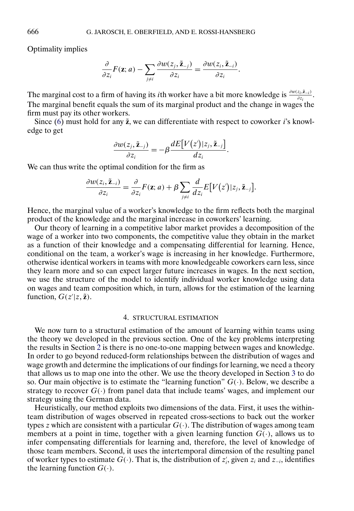Optimality implies

$$
\frac{\partial}{\partial z_i} F(\mathbf{z}; a) - \sum_{j \neq i} \frac{\partial w(z_j, \tilde{\mathbf{z}}_{-j})}{\partial z_i} = \frac{\partial w(z_i, \tilde{\mathbf{z}}_{-i})}{\partial z_i}.
$$

The marginal cost to a firm of having its *i*th worker have a bit more knowledge is  $\frac{\partial w(z_i, \tilde{z}_{-i})}{\partial z_i}$ . The marginal benefit equals the sum of its marginal product and the change in wages the firm must pay its other workers.

Since  $(6)$  must hold for any  $\tilde{z}$ , we can differentiate with respect to coworker *i*'s knowledge to get

$$
\frac{\partial w(z_j, \tilde{\mathbf{z}}_{-j})}{\partial z_i} = -\beta \frac{dE[V(z')|z_j, \tilde{\mathbf{z}}_{-j}]}{dz_i}.
$$

We can thus write the optimal condition for the firm as

$$
\frac{\partial w(z_i, \tilde{\mathbf{z}}_{-i})}{\partial z_i} = \frac{\partial}{\partial z_i} F(\mathbf{z}; a) + \beta \sum_{j \neq i} \frac{d}{dz_i} E[V(z') | z_j, \tilde{\mathbf{z}}_{-j}].
$$

Hence, the marginal value of a worker's knowledge to the firm reflects both the marginal product of the knowledge and the marginal increase in coworkers' learning.

Our theory of learning in a competitive labor market provides a decomposition of the wage of a worker into two components, the competitive value they obtain in the market as a function of their knowledge and a compensating differential for learning. Hence, conditional on the team, a worker's wage is increasing in her knowledge. Furthermore, otherwise identical workers in teams with more knowledgeable coworkers earn less, since they learn more and so can expect larger future increases in wages. In the next section, we use the structure of the model to identify individual worker knowledge using data on wages and team composition which, in turn, allows for the estimation of the learning function,  $G(z'|z, \tilde{z})$ .

#### 4. STRUCTURAL ESTIMATION

We now turn to a structural estimation of the amount of learning within teams using the theory we developed in the previous section. One of the key problems interpreting the results in Section [2](#page-5-0) is there is no one-to-one mapping between wages and knowledge. In order to go beyond reduced-form relationships between the distribution of wages and wage growth and determine the implications of our findings for learning, we need a theory that allows us to map one into the other. We use the theory developed in Section [3](#page-16-0) to do so. Our main objective is to estimate the "learning function"  $G(.)$ . Below, we describe a strategy to recover  $G(\cdot)$  from panel data that include teams' wages, and implement our strategy using the German data.

Heuristically, our method exploits two dimensions of the data. First, it uses the withinteam distribution of wages observed in repeated cross-sections to back out the worker types z which are consistent with a particular  $G(.)$ . The distribution of wages among team members at a point in time, together with a given learning function  $G(\cdot)$ , allows us to infer compensating differentials for learning and, therefore, the level of knowledge of those team members. Second, it uses the intertemporal dimension of the resulting panel of worker types to estimate  $G(\cdot)$ . That is, the distribution of  $z_i$ , given  $z_i$  and  $z_{-i}$ , identifies the learning function  $G(\cdot)$ .

<span id="page-20-0"></span>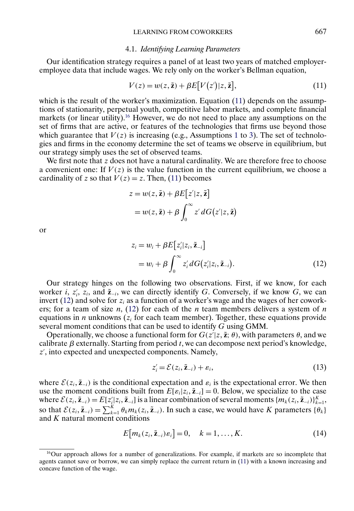# 4.1. *Identifying Learning Parameters*

<span id="page-21-0"></span>Our identification strategy requires a panel of at least two years of matched employeremployee data that include wages. We rely only on the worker's Bellman equation,

$$
V(z) = w(z, \tilde{z}) + \beta E[V(z')|z, \tilde{z}], \qquad (11)
$$

which is the result of the worker's maximization. Equation (11) depends on the assumptions of stationarity, perpetual youth, competitive labor markets, and complete financial markets (or linear utility).<sup>16</sup> However, we do not need to place any assumptions on the set of firms that are active, or features of the technologies that firms use beyond those which guarantee that  $V(z)$  is increasing (e.g., Assumptions [1](#page-18-0) to [3\)](#page-18-0). The set of technologies and firms in the economy determine the set of teams we observe in equilibrium, but our strategy simply uses the set of observed teams.

We first note that  $z$  does not have a natural cardinality. We are therefore free to choose a convenient one: If  $V(z)$  is the value function in the current equilibrium, we choose a cardinality of z so that  $V(z) = z$ . Then, (11) becomes

$$
z = w(z, \tilde{z}) + \beta E[z'|z, \tilde{z}]
$$
  
=  $w(z, \tilde{z}) + \beta \int_0^\infty z' dG(z'|z, \tilde{z})$ 

or

$$
z_i = w_i + \beta E[z'_i|z_i, \tilde{z}_{-i}]
$$
  
=  $w_i + \beta \int_0^\infty z'_i dG(z'_i|z_i, \tilde{z}_{-i}).$  (12)

Our strategy hinges on the following two observations. First, if we know, for each worker *i*,  $z'_i$ ,  $z_i$ , and  $\tilde{z}_{-i}$ , we can directly identify G. Conversely, if we know G, we can invert (12) and solve for  $z_i$  as a function of a worker's wage and the wages of her coworkers; for a team of size n,  $(12)$  for each of the n team members delivers a system of n equations in *n* unknowns ( $z_i$  for each team member). Together, these equations provide several moment conditions that can be used to identify G using GMM.

Operationally, we choose a functional form for  $G(z'|z, \tilde{z}; \theta)$ , with parameters  $\theta$ , and we calibrate  $\beta$  externally. Starting from period t, we can decompose next period's knowledge, z , into expected and unexpected components. Namely,

$$
z_i' = \mathcal{E}(z_i, \tilde{\mathbf{z}}_{-i}) + \varepsilon_i, \tag{13}
$$

where  $\mathcal{E}(z_i, \tilde{z}_{-i})$  is the conditional expectation and  $\varepsilon_i$  is the expectational error. We then use the moment conditions built from  $E[\varepsilon_i|z_i, \tilde{\mathbf{z}}_{-i}] = 0$ . Below, we specialize to the case where  $\mathcal{E}(z_i, \tilde{\mathbf{z}}_{-i}) = E[z'_i|z_i, \tilde{\mathbf{z}}_{-i}]$  is a linear combination of several moments  $\{m_k(z_i, \tilde{\mathbf{z}}_{-i})\}_{k=1}^K$ , so that  $\mathcal{E}(z_i, \tilde{\mathbf{z}}_{-i}) = \sum_{k=1}^K \theta_k m_k(z_i, \tilde{\mathbf{z}}_{-i})$ . In such a case, we would have K parameters  $\{\theta_k\}$ and K natural moment conditions

$$
E[m_k(z_i, \tilde{z}_{-i})\varepsilon_i] = 0, \quad k = 1, \dots, K. \tag{14}
$$

<sup>&</sup>lt;sup>16</sup>Our approach allows for a number of generalizations. For example, if markets are so incomplete that agents cannot save or borrow, we can simply replace the current return in (11) with a known increasing and concave function of the wage.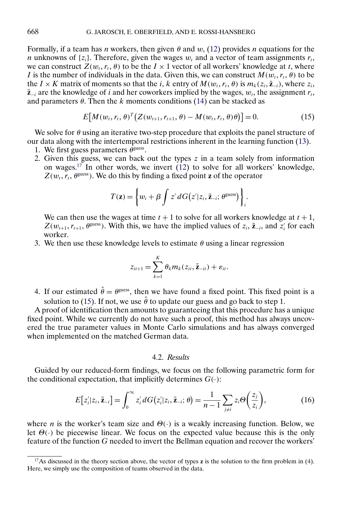<span id="page-22-0"></span>Formally, if a team has *n* workers, then given  $\theta$  and  $w$ , [\(12\)](#page-21-0) provides *n* equations for the *n* unknowns of  $\{z_i\}$ . Therefore, given the wages  $w_t$  and a vector of team assignments  $r_t$ , we can construct  $Z(w_t, r_t, \theta)$  to be the  $I \times 1$  vector of all workers' knowledge at t, where I is the number of individuals in the data. Given this, we can construct  $M(w_t, r_t, \theta)$  to be the *I* × *K* matrix of moments so that the *i*, *k* entry of  $M(w_t, r_t, \theta)$  is  $m_k(z_i, \tilde{z}_{-i})$ , where  $z_i$ ,  $\tilde{z}_{-i}$  are the knowledge of i and her coworkers implied by the wages,  $w_t$ , the assignment  $r_t$ , and parameters  $\theta$ . Then the k moments conditions [\(14\)](#page-21-0) can be stacked as

$$
E[M(w_t, r_t, \theta)^T (Z(w_{t+1}, r_{t+1}, \theta) - M(w_t, r_t, \theta)\theta)] = 0.
$$
 (15)

We solve for  $\theta$  using an iterative two-step procedure that exploits the panel structure of our data along with the intertemporal restrictions inherent in the learning function [\(13\)](#page-21-0).

- 1. We first guess parameters  $\theta^{\text{guess}}$ .
- 2. Given this guess, we can back out the types  $z$  in a team solely from information on wages.<sup>17</sup> In other words, we invert  $(12)$  to solve for all workers' knowledge,  $Z(w_t, r_t, \theta^{\text{guess}})$ . We do this by finding a fixed point **z** of the operator

$$
T(\mathbf{z}) = \left\{ w_i + \beta \int z' dG(z'|z_i, \tilde{\mathbf{z}}_{-i}; \theta^{\text{guess}}) \right\}_i.
$$

We can then use the wages at time  $t + 1$  to solve for all workers knowledge at  $t + 1$ ,  $Z(w_{t+1}, r_{t+1}, \theta^{\text{guess}})$ . With this, we have the implied values of  $z_i$ ,  $\tilde{z}_{-i}$ , and  $z'_i$  for each worker.

3. We then use these knowledge levels to estimate  $\theta$  using a linear regression

$$
z_{it+1} = \sum_{k=1}^K \theta_k m_k(z_{it}, \tilde{\mathbf{z}}_{-it}) + \varepsilon_{it}.
$$

4. If our estimated  $\hat{\theta} = \theta^{\text{guess}}$ , then we have found a fixed point. This fixed point is a solution to (15). If not, we use  $\hat{\theta}$  to update our guess and go back to step 1.

A proof of identification then amounts to guaranteeing that this procedure has a unique fixed point. While we currently do not have such a proof, this method has always uncovered the true parameter values in Monte Carlo simulations and has always converged when implemented on the matched German data.

# 4.2. *Results*

Guided by our reduced-form findings, we focus on the following parametric form for the conditional expectation, that implicitly determines  $G(\cdot)$ :

$$
E[z'_i|z_i, \tilde{\mathbf{z}}_{-i}] = \int_0^\infty z'_i dG(z'_i|z_i, \tilde{\mathbf{z}}_{-i}; \theta) = \frac{1}{n-1} \sum_{j \neq i} z_i \Theta\left(\frac{z_j}{z_i}\right),\tag{16}
$$

where *n* is the worker's team size and  $\Theta(\cdot)$  is a weakly increasing function. Below, we let  $\Theta(\cdot)$  be piecewise linear. We focus on the expected value because this is the only feature of the function G needed to invert the Bellman equation and recover the workers'

<sup>17</sup>As discussed in the theory section above, the vector of types **z** is the solution to the firm problem in [\(4\)](#page-16-0). Here, we simply use the composition of teams observed in the data.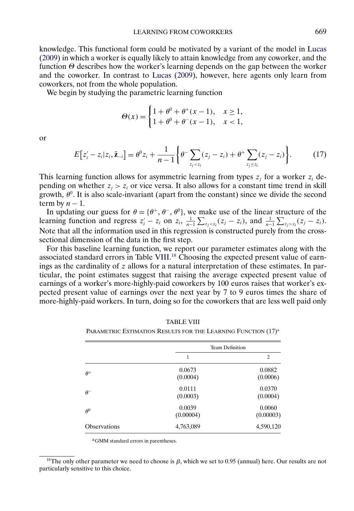<span id="page-23-0"></span>knowledge. This functional form could be motivated by a variant of the model in [Lucas](#page-30-0) [\(2009\)](#page-30-0) in which a worker is equally likely to attain knowledge from any coworker, and the function  $\Theta$  describes how the worker's learning depends on the gap between the worker and the coworker. In contrast to [Lucas](#page-30-0) [\(2009\)](#page-30-0), however, here agents only learn from coworkers, not from the whole population.

We begin by studying the parametric learning function

$$
\Theta(x) = \begin{cases} 1 + \theta^0 + \theta^+(x - 1), & x \ge 1, \\ 1 + \theta^0 + \theta^-(x - 1), & x < 1, \end{cases}
$$

or

$$
E[z'_{i} - z_{i}|z_{i}, \tilde{z}_{-i}] = \theta^{0} z_{i} + \frac{1}{n-1} \left\{ \theta^{-} \sum_{z_{j} < z_{i}} (z_{j} - z_{i}) + \theta^{+} \sum_{z_{j} \geq z_{i}} (z_{j} - z_{i}) \right\}.
$$
 (17)

This learning function allows for asymmetric learning from types  $z_i$  for a worker  $z_i$  depending on whether  $z_i > z_i$  or vice versa. It also allows for a constant time trend in skill growth,  $\theta^0$ . It is also scale-invariant (apart from the constant) since we divide the second term by  $n - 1$ .

In updating our guess for  $\theta = {\theta^+, \theta^-, \theta^0}$ , we make use of the linear structure of the learning function and regress  $z_i' - z_i$  on  $z_i$ ,  $\frac{1}{n-1} \sum_{z_j < z_i} (z_j - z_i)$ , and  $\frac{1}{n-1} \sum_{z_j > z_i} (z_j - z_i)$ . Note that all the information used in this regression is constructed purely from the crosssectional dimension of the data in the first step.

For this baseline learning function, we report our parameter estimates along with the associated standard errors in Table VIII.<sup>18</sup> Choosing the expected present value of earnings as the cardinality of z allows for a natural interpretation of these estimates. In particular, the point estimates suggest that raising the average expected present value of earnings of a worker's more-highly-paid coworkers by 100 euros raises that worker's expected present value of earnings over the next year by 7 to 9 euros times the share of more-highly-paid workers. In turn, doing so for the coworkers that are less well paid only

|                     | Team Definition     |                     |
|---------------------|---------------------|---------------------|
|                     | 1                   | 2                   |
| $\theta^+$          | 0.0673<br>(0.0004)  | 0.0882<br>(0.0006)  |
| $\theta^-$          | 0.0111<br>(0.0003)  | 0.0370<br>(0.0004)  |
| $\theta^0$          | 0.0039<br>(0.00004) | 0.0060<br>(0.00003) |
| <b>Observations</b> | 4,763,089           | 4,590,120           |

TABLE VIII

PARAMETRIC ESTIMATION RESULTS FOR THE LEARNING FUNCTION  $(17)^a$ 

aGMM standard errors in parentheses.

<sup>&</sup>lt;sup>18</sup>The only other parameter we need to choose is  $\beta$ , which we set to 0.95 (annual) here. Our results are not particularly sensitive to this choice.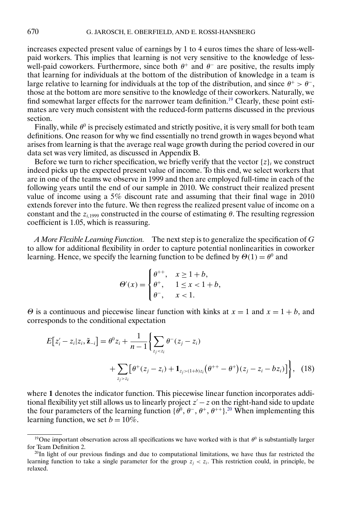<span id="page-24-0"></span>increases expected present value of earnings by 1 to 4 euros times the share of less-wellpaid workers. This implies that learning is not very sensitive to the knowledge of lesswell-paid coworkers. Furthermore, since both  $\theta^+$  and  $\theta^-$  are positive, the results imply that learning for individuals at the bottom of the distribution of knowledge in a team is large relative to learning for individuals at the top of the distribution, and since  $\theta^+ > \theta^-$ , those at the bottom are more sensitive to the knowledge of their coworkers. Naturally, we find somewhat larger effects for the narrower team definition.<sup>19</sup> Clearly, these point estimates are very much consistent with the reduced-form patterns discussed in the previous section.

Finally, while  $\theta^0$  is precisely estimated and strictly positive, it is very small for both team definitions. One reason for why we find essentially no trend growth in wages beyond what arises from learning is that the average real wage growth during the period covered in our data set was very limited, as discussed in Appendix B.

Before we turn to richer specification, we briefly verify that the vector  $\{z\}_t$  we construct indeed picks up the expected present value of income. To this end, we select workers that are in one of the teams we observe in 1999 and then are employed full-time in each of the following years until the end of our sample in 2010. We construct their realized present value of income using a 5% discount rate and assuming that their final wage in 2010 extends forever into the future. We then regress the realized present value of income on a constant and the  $z_{i,1999}$  constructed in the course of estimating  $\theta$ . The resulting regression coefficient is 1.05, which is reassuring.

*A More Flexible Learning Function.* The next step is to generalize the specification of G to allow for additional flexibility in order to capture potential nonlinearities in coworker learning. Hence, we specify the learning function to be defined by  $\Theta(1) = \theta^0$  and

$$
\Theta'(x) = \begin{cases} \theta^{++}, & x \ge 1+b, \\ \theta^+, & 1 \le x < 1+b, \\ \theta^-, & x < 1. \end{cases}
$$

 $\Theta$  is a continuous and piecewise linear function with kinks at  $x = 1$  and  $x = 1 + b$ , and corresponds to the conditional expectation

$$
E[z'_{i} - z_{i}|z_{i}, \tilde{z}_{-i}] = \theta^{0} z_{i} + \frac{1}{n-1} \Biggl\{ \sum_{z_{j} < z_{i}} \theta^{-}(z_{j} - z_{i}) + \sum_{z_{j} > z_{i}} \Biggl[ \theta^{+}(z_{j} - z_{i}) + \mathbf{1}_{z_{j} > (1+b)z_{i}} \Biggl( \theta^{++} - \theta^{+} \Biggr) (z_{j} - z_{i} - bz_{i}) \Biggr] \Biggr\}, \quad (18)
$$

where **1** denotes the indicator function. This piecewise linear function incorporates additional flexibility yet still allows us to linearly project  $z' - z$  on the right-hand side to update the four parameters of the learning function  $\{\theta^0, \theta^-, \theta^+, \theta^{++}\}$ .<sup>20</sup> When implementing this learning function, we set  $b = 10\%$ .

<sup>&</sup>lt;sup>19</sup>One important observation across all specifications we have worked with is that  $\theta^0$  is substantially larger for Team Definition 2.

 $^{20}$ In light of our previous findings and due to computational limitations, we have thus far restricted the learning function to take a single parameter for the group  $z_i < z_i$ . This restriction could, in principle, be relaxed.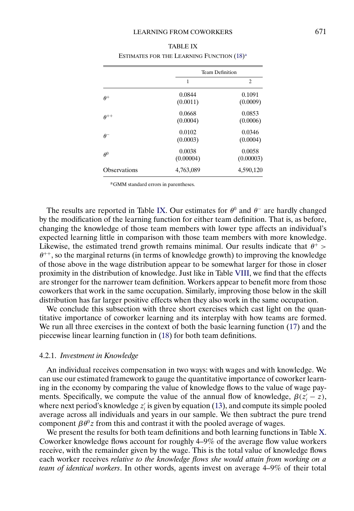|                     | <b>Team Definition</b> |                     |
|---------------------|------------------------|---------------------|
|                     | 1                      | $\overline{c}$      |
| $\theta^+$          | 0.0844<br>(0.0011)     | 0.1091<br>(0.0009)  |
| $\theta^{++}$       | 0.0668<br>(0.0004)     | 0.0853<br>(0.0006)  |
| $\theta^-$          | 0.0102<br>(0.0003)     | 0.0346<br>(0.0004)  |
| $\theta^0$          | 0.0038<br>(0.00004)    | 0.0058<br>(0.00003) |
| <b>Observations</b> | 4,763,089              | 4,590,120           |

| <b>TABLE IX</b>                                       |  |
|-------------------------------------------------------|--|
| ESTIMATES FOR THE LEARNING FUNCTION (18) <sup>a</sup> |  |

aGMM standard errors in parentheses.

The results are reported in Table IX. Our estimates for  $\theta^0$  and  $\theta^-$  are hardly changed by the modification of the learning function for either team definition. That is, as before, changing the knowledge of those team members with lower type affects an individual's expected learning little in comparison with those team members with more knowledge. Likewise, the estimated trend growth remains minimal. Our results indicate that  $\theta^+$  >  $\theta^{++}$ , so the marginal returns (in terms of knowledge growth) to improving the knowledge of those above in the wage distribution appear to be somewhat larger for those in closer proximity in the distribution of knowledge. Just like in Table [VIII,](#page-23-0) we find that the effects are stronger for the narrower team definition. Workers appear to benefit more from those coworkers that work in the same occupation. Similarly, improving those below in the skill distribution has far larger positive effects when they also work in the same occupation.

We conclude this subsection with three short exercises which cast light on the quantitative importance of coworker learning and its interplay with how teams are formed. We run all three exercises in the context of both the basic learning function [\(17\)](#page-23-0) and the piecewise linear learning function in [\(18\)](#page-24-0) for both team definitions.

#### 4.2.1. *Investment in Knowledge*

An individual receives compensation in two ways: with wages and with knowledge. We can use our estimated framework to gauge the quantitative importance of coworker learning in the economy by comparing the value of knowledge flows to the value of wage payments. Specifically, we compute the value of the annual flow of knowledge,  $\beta(z_i - z)$ , where next period's knowledge  $z_i$  is given by equation [\(13\)](#page-21-0), and compute its simple pooled average across all individuals and years in our sample. We then subtract the pure trend component  $\beta \theta^0 z$  from this and contrast it with the pooled average of wages.

We present the results for both team definitions and both learning functions in Table [X.](#page-26-0) Coworker knowledge flows account for roughly 4–9% of the average flow value workers receive, with the remainder given by the wage. This is the total value of knowledge flows each worker receives *relative to the knowledge flows she would attain from working on a team of identical workers*. In other words, agents invest on average 4–9% of their total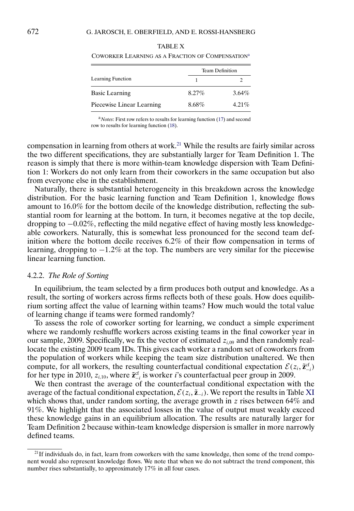|                           | <b>Team Definition</b> |          |
|---------------------------|------------------------|----------|
| Learning Function         |                        |          |
| <b>Basic Learning</b>     | $8.27\%$               | $3.64\%$ |
| Piecewise Linear Learning | 8.68%                  | $4.21\%$ |

<span id="page-26-0"></span>TABLE X COWORKER LEARNING AS A FRACTION OF COMPENSATIONa

<sup>a</sup>*Notes*: First row refers to results for learning function [\(17\)](#page-23-0) and second row to results for learning function [\(18\)](#page-24-0).

compensation in learning from others at work.<sup>21</sup> While the results are fairly similar across the two different specifications, they are substantially larger for Team Definition 1. The reason is simply that there is more within-team knowledge dispersion with Team Definition 1: Workers do not only learn from their coworkers in the same occupation but also from everyone else in the establishment.

Naturally, there is substantial heterogeneity in this breakdown across the knowledge distribution. For the basic learning function and Team Definition 1, knowledge flows amount to 16.0% for the bottom decile of the knowledge distribution, reflecting the substantial room for learning at the bottom. In turn, it becomes negative at the top decile, dropping to  $-0.02\%$ , reflecting the mild negative effect of having mostly less knowledgeable coworkers. Naturally, this is somewhat less pronounced for the second team definition where the bottom decile receives 6.2% of their flow compensation in terms of learning, dropping to −12% at the top. The numbers are very similar for the piecewise linear learning function.

#### 4.2.2. *The Role of Sorting*

In equilibrium, the team selected by a firm produces both output and knowledge. As a result, the sorting of workers across firms reflects both of these goals. How does equilibrium sorting affect the value of learning within teams? How much would the total value of learning change if teams were formed randomly?

To assess the role of coworker sorting for learning, we conduct a simple experiment where we randomly reshuffle workers across existing teams in the final coworker year in our sample, 2009. Specifically, we fix the vector of estimated  $z_{i,09}$  and then randomly reallocate the existing 2009 team IDs. This gives each worker a random set of coworkers from the population of workers while keeping the team size distribution unaltered. We then compute, for all workers, the resulting counterfactual conditional expectation  $\mathcal{E}(z_i, \tilde{z}_{-i}^{\text{cf}})$ for her type in 2010,  $z_{i,10}$ , where  $\tilde{\mathbf{z}}_{-i}^{\text{cf}}$  is worker *i*'s counterfactual peer group in 2009.

We then contrast the average of the counterfactual conditional expectation with the average of the factual conditional expectation,  $\mathcal{E}(z_i, \tilde{z}_{-i})$ . We report the results in Table [XI](#page-27-0) which shows that, under random sorting, the average growth in  $z$  rises between 64% and 91%. We highlight that the associated losses in the value of output must weakly exceed these knowledge gains in an equilibrium allocation. The results are naturally larger for Team Definition 2 because within-team knowledge dispersion is smaller in more narrowly defined teams.

 $^{21}$ If individuals do, in fact, learn from coworkers with the same knowledge, then some of the trend component would also represent knowledge flows. We note that when we do not subtract the trend component, this number rises substantially, to approximately 17% in all four cases.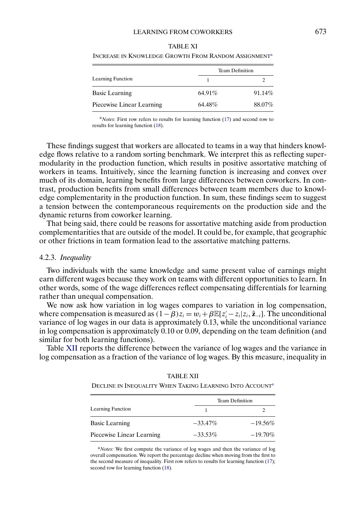|                           | <b>Team Definition</b> |        |
|---------------------------|------------------------|--------|
| Learning Function         |                        |        |
| <b>Basic Learning</b>     | 64.91%                 | 91.14% |
| Piecewise Linear Learning | 64.48%                 | 88.07% |

<span id="page-27-0"></span>

| <b>TABLE XI</b>                                                  |
|------------------------------------------------------------------|
| Increase in Knowledge Growth From Random Assignment <sup>a</sup> |

<sup>a</sup>*Notes*: First row refers to results for learning function [\(17\)](#page-23-0) and second row to results for learning function [\(18\)](#page-24-0).

These findings suggest that workers are allocated to teams in a way that hinders knowledge flows relative to a random sorting benchmark. We interpret this as reflecting supermodularity in the production function, which results in positive assortative matching of workers in teams. Intuitively, since the learning function is increasing and convex over much of its domain, learning benefits from large differences between coworkers. In contrast, production benefits from small differences between team members due to knowledge complementarity in the production function. In sum, these findings seem to suggest a tension between the contemporaneous requirements on the production side and the dynamic returns from coworker learning.

That being said, there could be reasons for assortative matching aside from production complementarities that are outside of the model. It could be, for example, that geographic or other frictions in team formation lead to the assortative matching patterns.

#### 4.2.3. *Inequality*

Two individuals with the same knowledge and same present value of earnings might earn different wages because they work on teams with different opportunities to learn. In other words, some of the wage differences reflect compensating differentials for learning rather than unequal compensation.

We now ask how variation in log wages compares to variation in log compensation, where compensation is measured as  $(1 - \beta)z_i = w_i + \beta \mathbb{E}[z_i - z_i | z_i, \tilde{z}_{-i}]$ . The unconditional variance of log wages in our data is approximately 0.13, while the unconditional variance in log compensation is approximately 0.10 or 0.09, depending on the team definition (and similar for both learning functions).

Table XII reports the difference between the variance of log wages and the variance in log compensation as a fraction of the variance of log wages. By this measure, inequality in

> TABLE XII DECLINE IN INEQUALITY WHEN TAKING LEARNING INTO ACCOUNT<sup>a</sup>

|                           | Team Definition |            |
|---------------------------|-----------------|------------|
| Learning Function         |                 |            |
| <b>Basic Learning</b>     | $-33.47\%$      | $-19.56\%$ |
| Piecewise Linear Learning | $-33.53\%$      | $-19.70\%$ |

<sup>a</sup>*Notes*: We first compute the variance of log wages and then the variance of log overall compensation. We report the percentage decline when moving from the first to the second measure of inequality. First row refers to results for learning function [\(17\)](#page-23-0); second row for learning function [\(18\)](#page-24-0).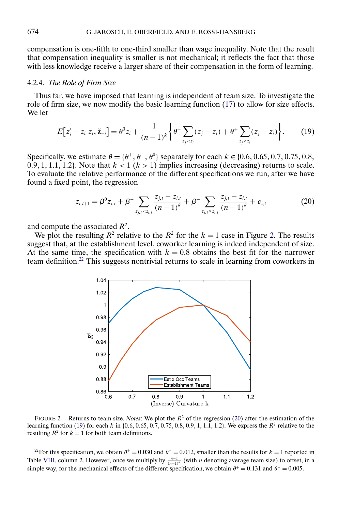compensation is one-fifth to one-third smaller than wage inequality. Note that the result that compensation inequality is smaller is not mechanical; it reflects the fact that those with less knowledge receive a larger share of their compensation in the form of learning.

## 4.2.4. *The Role of Firm Size*

Thus far, we have imposed that learning is independent of team size. To investigate the role of firm size, we now modify the basic learning function [\(17\)](#page-23-0) to allow for size effects. We let

$$
E[z_i'-z_i|z_i,\tilde{\mathbf{z}}_{-i}] = \theta^0 z_i + \frac{1}{(n-1)^k} \bigg\{ \theta^- \sum_{z_j < z_i} (z_j - z_i) + \theta^+ \sum_{z_j \ge z_i} (z_j - z_i) \bigg\}.
$$
 (19)

Specifically, we estimate θ = {θ<sup>+</sup>- θ<sup>−</sup>- θ0 } separately for each k ∈ {06- 065- 07- 075- 08- 0.9, 1, 1.1, 1.2}. Note that  $k < 1$  ( $k > 1$ ) implies increasing (decreasing) returns to scale. To evaluate the relative performance of the different specifications we run, after we have found a fixed point, the regression

$$
z_{i,t+1} = \beta^0 z_{i,t} + \beta^- \sum_{z_{j,t} < z_{i,t}} \frac{z_{j,t} - z_{i,t}}{(n-1)^k} + \beta^+ \sum_{z_{j,t} \ge z_{i,t}} \frac{z_{j,t} - z_{i,t}}{(n-1)^k} + \varepsilon_{i,t} \tag{20}
$$

and compute the associated  $R^2$ .

We plot the resulting  $R^2$  relative to the  $R^2$  for the  $k = 1$  case in Figure 2. The results suggest that, at the establishment level, coworker learning is indeed independent of size. At the same time, the specification with  $k = 0.8$  obtains the best fit for the narrower team definition.<sup>22</sup> This suggests nontrivial returns to scale in learning from coworkers in



FIGURE 2.—Returns to team size. *Notes*: We plot the R<sup>2</sup> of the regression (20) after the estimation of the learning function (19) for each k in  $\{0.6, 0.65, 0.7, 0.75, 0.8, 0.9, 1, 1.1, 1.2\}$ . We express the  $R^2$  relative to the resulting  $R^2$  for  $k = 1$  for both team definitions.

<sup>&</sup>lt;sup>22</sup>For this specification, we obtain  $\theta^+ = 0.030$  and  $\theta^- = 0.012$ , smaller than the results for  $k = 1$  reported in Table [VIII,](#page-23-0) column 2. However, once we multiply by  $\frac{\bar{n}-1}{(\bar{n}-1)k}$  (with  $\bar{n}$  denoting average team size) to offset, in a simple way, for the mechanical effects of the different specification, we obtain  $\theta^+ = 0.131$  and  $\theta^- = 0.005$ .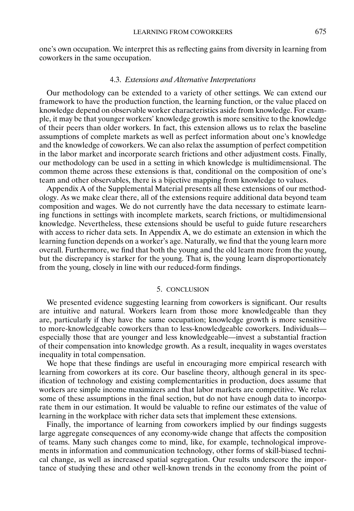<span id="page-29-0"></span>one's own occupation. We interpret this as reflecting gains from diversity in learning from coworkers in the same occupation.

#### 4.3. *Extensions and Alternative Interpretations*

Our methodology can be extended to a variety of other settings. We can extend our framework to have the production function, the learning function, or the value placed on knowledge depend on observable worker characteristics aside from knowledge. For example, it may be that younger workers' knowledge growth is more sensitive to the knowledge of their peers than older workers. In fact, this extension allows us to relax the baseline assumptions of complete markets as well as perfect information about one's knowledge and the knowledge of coworkers. We can also relax the assumption of perfect competition in the labor market and incorporate search frictions and other adjustment costs. Finally, our methodology can be used in a setting in which knowledge is multidimensional. The common theme across these extensions is that, conditional on the composition of one's team and other observables, there is a bijective mapping from knowledge to values.

Appendix A of the Supplemental Material presents all these extensions of our methodology. As we make clear there, all of the extensions require additional data beyond team composition and wages. We do not currently have the data necessary to estimate learning functions in settings with incomplete markets, search frictions, or multidimensional knowledge. Nevertheless, these extensions should be useful to guide future researchers with access to richer data sets. In Appendix A, we do estimate an extension in which the learning function depends on a worker's age. Naturally, we find that the young learn more overall. Furthermore, we find that both the young and the old learn more from the young, but the discrepancy is starker for the young. That is, the young learn disproportionately from the young, closely in line with our reduced-form findings.

# 5. CONCLUSION

We presented evidence suggesting learning from coworkers is significant. Our results are intuitive and natural. Workers learn from those more knowledgeable than they are, particularly if they have the same occupation; knowledge growth is more sensitive to more-knowledgeable coworkers than to less-knowledgeable coworkers. Individuals especially those that are younger and less knowledgeable—invest a substantial fraction of their compensation into knowledge growth. As a result, inequality in wages overstates inequality in total compensation.

We hope that these findings are useful in encouraging more empirical research with learning from coworkers at its core. Our baseline theory, although general in its specification of technology and existing complementarities in production, does assume that workers are simple income maximizers and that labor markets are competitive. We relax some of these assumptions in the final section, but do not have enough data to incorporate them in our estimation. It would be valuable to refine our estimates of the value of learning in the workplace with richer data sets that implement these extensions.

Finally, the importance of learning from coworkers implied by our findings suggests large aggregate consequences of any economy-wide change that affects the composition of teams. Many such changes come to mind, like, for example, technological improvements in information and communication technology, other forms of skill-biased technical change, as well as increased spatial segregation. Our results underscore the importance of studying these and other well-known trends in the economy from the point of